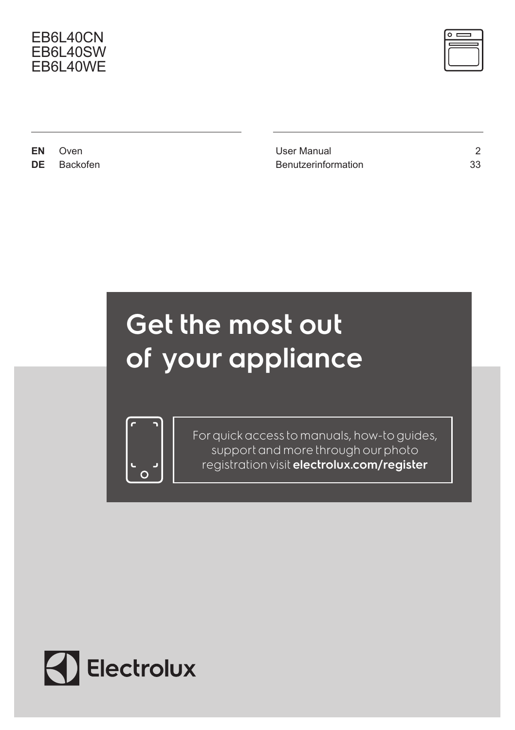### EB6L40CN EB6L40SW EB6L40WE



**EN** Oven 2 **DE** Backofen 33

# Get the most out of your appliance



For quick access to manuals, how-to guides, support and more through our photo registration visit electrolux.com/register

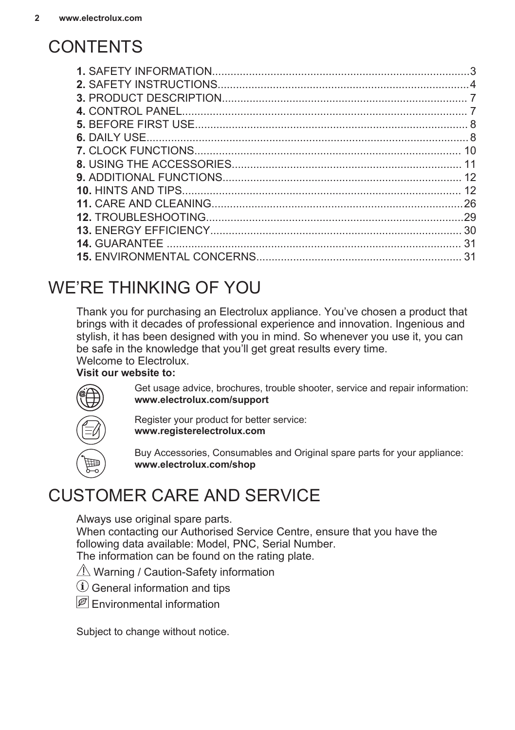### <span id="page-1-0"></span>**CONTENTS**

| 10  |
|-----|
|     |
|     |
| 12  |
| -26 |
| .29 |
|     |
| .31 |
| 31  |

### WE'RE THINKING OF YOU

Thank you for purchasing an Electrolux appliance. You've chosen a product that brings with it decades of professional experience and innovation. Ingenious and stylish, it has been designed with you in mind. So whenever you use it, you can be safe in the knowledge that you'll get great results every time. Welcome to Electrolux.

### **Visit our website to:**

Get usage advice, brochures, trouble shooter, service and repair information: **www.electrolux.com/support**



Register your product for better service: **www.registerelectrolux.com**



Buy Accessories, Consumables and Original spare parts for your appliance: **www.electrolux.com/shop**

### CUSTOMER CARE AND SERVICE

Always use original spare parts.

When contacting our Authorised Service Centre, ensure that you have the following data available: Model, PNC, Serial Number. The information can be found on the rating plate.

- $\triangle$  Warning / Caution-Safety information
- $(i)$  General information and tips
- $\mathscr{B}$  Environmental information

Subject to change without notice.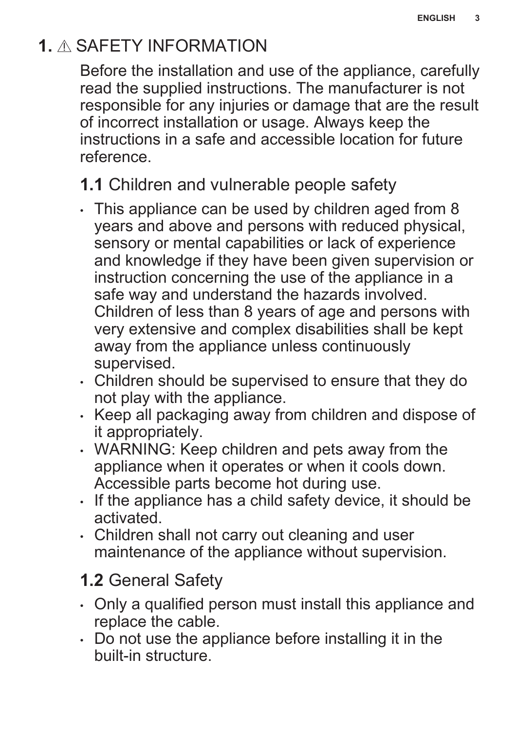### <span id="page-2-0"></span>**1.** SAFETY INFORMATION

Before the installation and use of the appliance, carefully read the supplied instructions. The manufacturer is not responsible for any injuries or damage that are the result of incorrect installation or usage. Always keep the instructions in a safe and accessible location for future reference.

**1.1** Children and vulnerable people safety

- This appliance can be used by children aged from 8 years and above and persons with reduced physical, sensory or mental capabilities or lack of experience and knowledge if they have been given supervision or instruction concerning the use of the appliance in a safe way and understand the hazards involved. Children of less than 8 years of age and persons with very extensive and complex disabilities shall be kept away from the appliance unless continuously supervised.
- Children should be supervised to ensure that they do not play with the appliance.
- Keep all packaging away from children and dispose of it appropriately.
- WARNING: Keep children and pets away from the appliance when it operates or when it cools down. Accessible parts become hot during use.
- If the appliance has a child safety device, it should be activated.
- Children shall not carry out cleaning and user maintenance of the appliance without supervision.

### **1.2** General Safety

- Only a qualified person must install this appliance and replace the cable.
- Do not use the appliance before installing it in the built-in structure.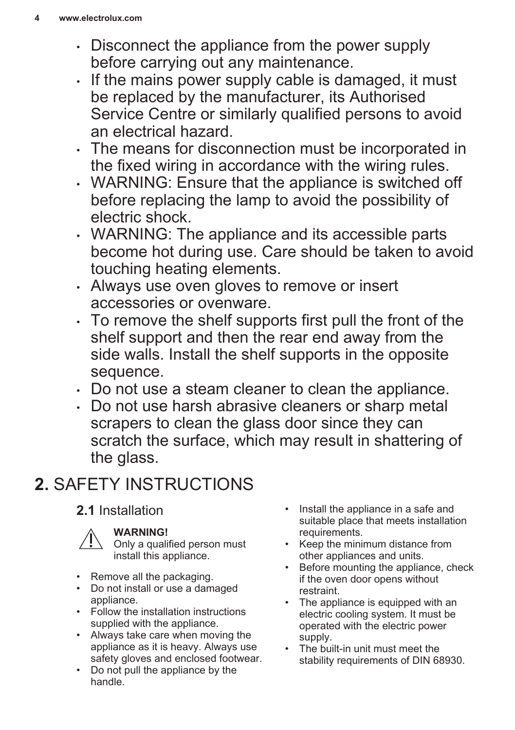- <span id="page-3-0"></span>• Disconnect the appliance from the power supply before carrying out any maintenance.
- If the mains power supply cable is damaged, it must be replaced by the manufacturer, its Authorised Service Centre or similarly qualified persons to avoid an electrical hazard.
- The means for disconnection must be incorporated in the fixed wiring in accordance with the wiring rules.
- WARNING: Ensure that the appliance is switched off before replacing the lamp to avoid the possibility of electric shock.
- WARNING: The appliance and its accessible parts become hot during use. Care should be taken to avoid touching heating elements.
- Always use oven gloves to remove or insert accessories or ovenware.
- To remove the shelf supports first pull the front of the shelf support and then the rear end away from the side walls. Install the shelf supports in the opposite sequence.
- Do not use a steam cleaner to clean the appliance.
- Do not use harsh abrasive cleaners or sharp metal scrapers to clean the glass door since they can scratch the surface, which may result in shattering of the glass.

## **2.** SAFETY INSTRUCTIONS

### **2.1** Installation



### **WARNING!**

Only a qualified person must install this appliance.

- Remove all the packaging.
- Do not install or use a damaged appliance.
- Follow the installation instructions supplied with the appliance.
- Always take care when moving the appliance as it is heavy. Always use safety gloves and enclosed footwear.
- Do not pull the appliance by the handle.
- Install the appliance in a safe and suitable place that meets installation requirements.
- Keep the minimum distance from other appliances and units.
- Before mounting the appliance, check if the oven door opens without restraint.
- The appliance is equipped with an electric cooling system. It must be operated with the electric power supply.
- The built-in unit must meet the stability requirements of DIN 68930.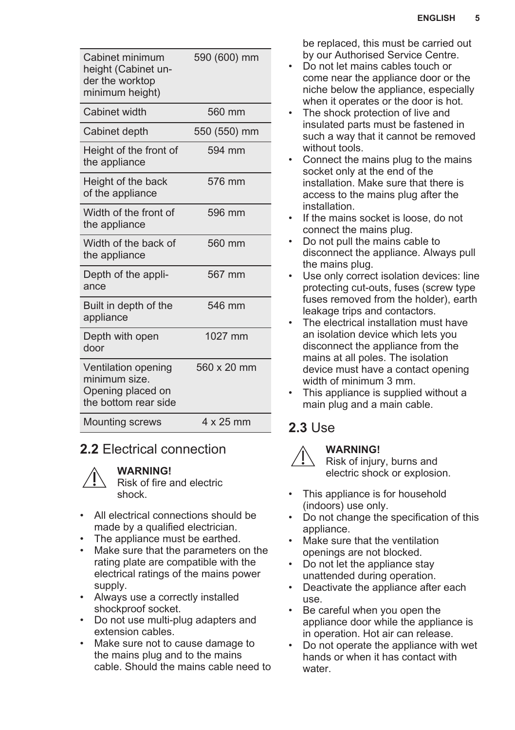| Cabinet minimum<br>height (Cabinet un-<br>der the worktop<br>minimum height)      | 590 (600) mm |
|-----------------------------------------------------------------------------------|--------------|
| Cabinet width                                                                     | 560 mm       |
| Cabinet depth                                                                     | 550 (550) mm |
| Height of the front of<br>the appliance                                           | 594 mm       |
| Height of the back<br>of the appliance                                            | 576 mm       |
| Width of the front of<br>the appliance                                            | 596 mm       |
| Width of the back of<br>the appliance                                             | 560 mm       |
| Depth of the appli-<br>ance                                                       | 567 mm       |
| Built in depth of the<br>appliance                                                | 546 mm       |
| Depth with open<br>door                                                           | 1027 mm      |
| Ventilation opening<br>minimum size.<br>Opening placed on<br>the bottom rear side | 560 x 20 mm  |
| <b>Mounting screws</b>                                                            | 4 x 25 mm    |

### **2.2** Electrical connection

#### **WARNING!**

Risk of fire and electric shock.

- All electrical connections should be made by a qualified electrician.
- The appliance must be earthed.<br>• Make sure that the parameters of
- Make sure that the parameters on the rating plate are compatible with the electrical ratings of the mains power supply.
- Always use a correctly installed shockproof socket.
- Do not use multi-plug adapters and extension cables.
- Make sure not to cause damage to the mains plug and to the mains cable. Should the mains cable need to

be replaced, this must be carried out by our Authorised Service Centre.

- Do not let mains cables touch or come near the appliance door or the niche below the appliance, especially when it operates or the door is hot.
- The shock protection of live and insulated parts must be fastened in such a way that it cannot be removed without tools.
- Connect the mains plug to the mains socket only at the end of the installation. Make sure that there is access to the mains plug after the installation.
- If the mains socket is loose, do not connect the mains plug.
- Do not pull the mains cable to disconnect the appliance. Always pull the mains plug.
- Use only correct isolation devices: line protecting cut-outs, fuses (screw type fuses removed from the holder), earth leakage trips and contactors.
- The electrical installation must have an isolation device which lets you disconnect the appliance from the mains at all poles. The isolation device must have a contact opening width of minimum 3 mm.
- This appliance is supplied without a main plug and a main cable.

### **2.3** Use



#### **WARNING!**

Risk of injury, burns and electric shock or explosion.

- This appliance is for household (indoors) use only.
- Do not change the specification of this appliance.
- Make sure that the ventilation openings are not blocked.
- Do not let the appliance stay unattended during operation.
- Deactivate the appliance after each use.
- Be careful when you open the appliance door while the appliance is in operation. Hot air can release.
- Do not operate the appliance with wet hands or when it has contact with water.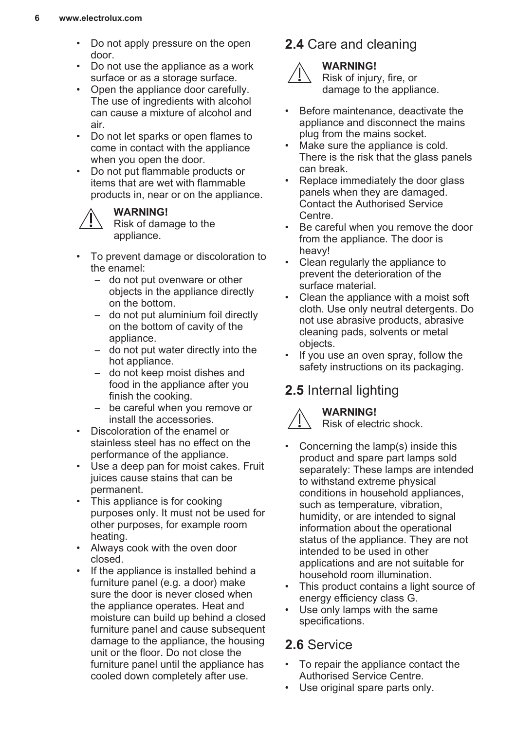- Do not apply pressure on the open door.
- Do not use the appliance as a work surface or as a storage surface.
- Open the appliance door carefully. The use of ingredients with alcohol can cause a mixture of alcohol and air.
- Do not let sparks or open flames to come in contact with the appliance when you open the door.
- Do not put flammable products or items that are wet with flammable products in, near or on the appliance.



#### **WARNING!**

Risk of damage to the appliance.

- To prevent damage or discoloration to the enamel:
	- do not put ovenware or other objects in the appliance directly on the bottom.
	- do not put aluminium foil directly on the bottom of cavity of the appliance.
	- do not put water directly into the hot appliance.
	- do not keep moist dishes and food in the appliance after you finish the cooking.
	- be careful when you remove or install the accessories.
- Discoloration of the enamel or stainless steel has no effect on the performance of the appliance.
- Use a deep pan for moist cakes. Fruit juices cause stains that can be permanent.
- This appliance is for cooking purposes only. It must not be used for other purposes, for example room heating.
- Always cook with the oven door closed.
- If the appliance is installed behind a furniture panel (e.g. a door) make sure the door is never closed when the appliance operates. Heat and moisture can build up behind a closed furniture panel and cause subsequent damage to the appliance, the housing unit or the floor. Do not close the furniture panel until the appliance has cooled down completely after use.

### **2.4** Care and cleaning **WARNING!**



Risk of injury, fire, or damage to the appliance.

- Before maintenance, deactivate the appliance and disconnect the mains plug from the mains socket.
- Make sure the appliance is cold. There is the risk that the glass panels can break.
- Replace immediately the door glass panels when they are damaged. Contact the Authorised Service Centre.
- Be careful when you remove the door from the appliance. The door is heavy!
- Clean regularly the appliance to prevent the deterioration of the surface material.
- Clean the appliance with a moist soft cloth. Use only neutral detergents. Do not use abrasive products, abrasive cleaning pads, solvents or metal objects.
- If you use an oven spray, follow the safety instructions on its packaging.

### **2.5** Internal lighting



#### **WARNING!**

Risk of electric shock.

- Concerning the lamp(s) inside this product and spare part lamps sold separately: These lamps are intended to withstand extreme physical conditions in household appliances, such as temperature, vibration, humidity, or are intended to signal information about the operational status of the appliance. They are not intended to be used in other applications and are not suitable for household room illumination.
- This product contains a light source of energy efficiency class G.
- Use only lamps with the same specifications.

### **2.6** Service

- To repair the appliance contact the Authorised Service Centre.
- Use original spare parts only.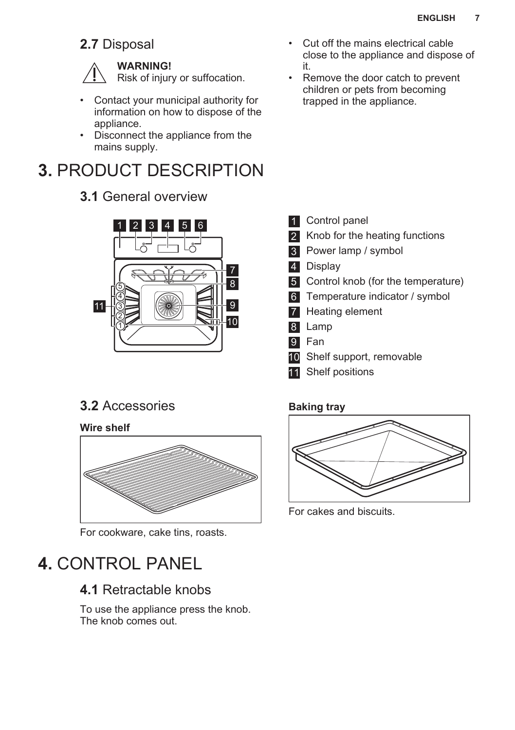### <span id="page-6-0"></span>**2.7** Disposal

#### **WARNING!**

Risk of injury or suffocation.

- Contact your municipal authority for information on how to dispose of the appliance.
- Disconnect the appliance from the mains supply.

### **3.** PRODUCT DESCRIPTION

### **3.1** General overview



### **3.2** Accessories

**Wire shelf**



For cookware, cake tins, roasts.

### **4.** CONTROL PANEL

### **4.1** Retractable knobs

To use the appliance press the knob. The knob comes out.

- Cut off the mains electrical cable close to the appliance and dispose of it.
- Remove the door catch to prevent children or pets from becoming trapped in the appliance.

- 1 Control panel
- 2 Knob for the heating functions
- 3 Power lamp / symbol
- 4 Display
- 5 Control knob (for the temperature)
- 6 Temperature indicator / symbol
- **7** Heating element
- 8 Lamp
- 9 Fan
- **10** Shelf support, removable
- 11 Shelf positions

#### **Baking tray**



For cakes and biscuits.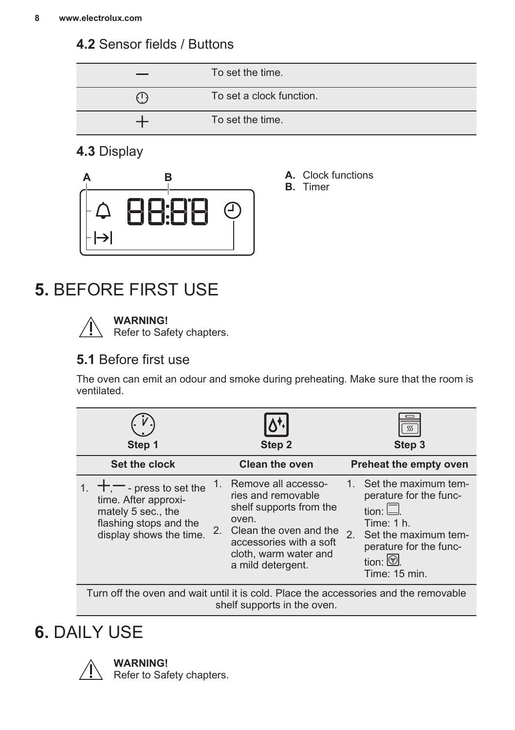### <span id="page-7-0"></span>**4.2** Sensor fields / Buttons

|     | To set the time.         |
|-----|--------------------------|
| (1) | To set a clock function. |
|     | To set the time.         |

**A.** Clock functions **B.** Timer

### **4.3** Display



**5.** BEFORE FIRST USE

**WARNING!**

Refer to Safety chapters.

### **5.1** Before first use

The oven can emit an odour and smoke during preheating. Make sure that the room is ventilated.

| Set the clock<br><b>Clean the oven</b><br><b>Preheat the empty oven</b><br>Set the maximum tem-<br>Remove all accesso-<br>1.<br>$+,-$ - press to set the<br>ries and removable<br>perature for the func-<br>time. After approxi-<br>shelf supports from the<br>tion: $\Box$<br>mately 5 sec., the<br>oven.<br>flashing stops and the<br>Time: $1h$ .<br>Clean the oven and the<br>2.<br>display shows the time.<br>2.<br>Set the maximum tem-<br>accessories with a soft<br>perature for the func-<br>cloth, warm water and<br>tion: $\circledcirc$ .<br>a mild detergent.<br>Time: 15 min. | Step 1 | Step 2 | Step 3 |
|---------------------------------------------------------------------------------------------------------------------------------------------------------------------------------------------------------------------------------------------------------------------------------------------------------------------------------------------------------------------------------------------------------------------------------------------------------------------------------------------------------------------------------------------------------------------------------------------|--------|--------|--------|
|                                                                                                                                                                                                                                                                                                                                                                                                                                                                                                                                                                                             |        |        |        |
|                                                                                                                                                                                                                                                                                                                                                                                                                                                                                                                                                                                             |        |        |        |

Turn off the oven and wait until it is cold. Place the accessories and the removable shelf supports in the oven.

### **6.** DAILY USE



**WARNING!** Refer to Safety chapters.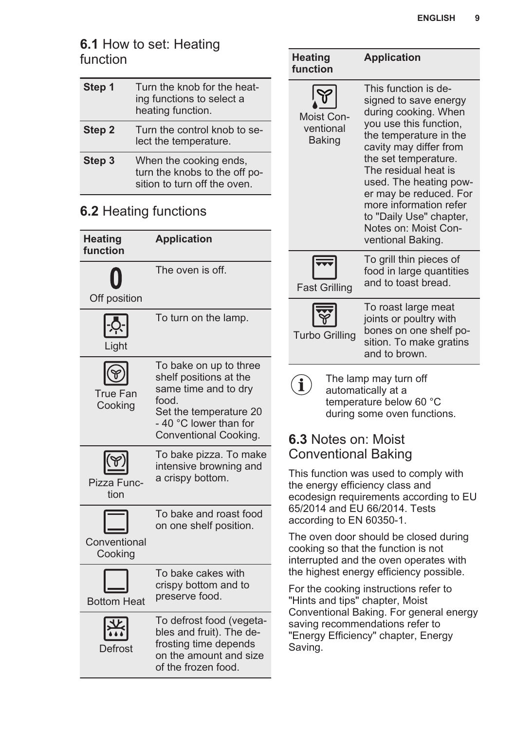### **6.1** How to set: Heating function

| Step 1 | Turn the knob for the heat-<br>ing functions to select a<br>heating function.           |
|--------|-----------------------------------------------------------------------------------------|
| Step 2 | Turn the control knob to se-<br>lect the temperature.                                   |
| Step 3 | When the cooking ends,<br>turn the knobs to the off po-<br>sition to turn off the oven. |

### **6.2** Heating functions

| <b>Heating</b><br>function           | <b>Application</b>                                                                                                                                             |
|--------------------------------------|----------------------------------------------------------------------------------------------------------------------------------------------------------------|
| Off position                         | The oven is off.                                                                                                                                               |
| -Ò<br>Light                          | To turn on the lamp.                                                                                                                                           |
| <b>True Fan</b><br>Cooking           | To bake on up to three<br>shelf positions at the<br>same time and to dry<br>food.<br>Set the temperature 20<br>- 40 °C lower than for<br>Conventional Cooking. |
| $\circledast$<br>Pizza Func-<br>tion | To bake pizza. To make<br>intensive browning and<br>a crispy bottom.                                                                                           |
| Conventional<br>Cooking              | To bake and roast food<br>on one shelf position.                                                                                                               |
| <b>Bottom Heat</b>                   | To bake cakes with<br>crispy bottom and to<br>preserve food.                                                                                                   |
| Defrost                              | To defrost food (vegeta-<br>bles and fruit). The de-<br>frosting time depends<br>on the amount and size<br>of the frozen food.                                 |

| <b>Heating</b><br>function               | <b>Application</b>                                                                                                                                                                                                                                                                                                                                        |  |
|------------------------------------------|-----------------------------------------------------------------------------------------------------------------------------------------------------------------------------------------------------------------------------------------------------------------------------------------------------------------------------------------------------------|--|
| Moist Con-<br>ventional<br><b>Baking</b> | This function is de-<br>signed to save energy<br>during cooking. When<br>you use this function,<br>the temperature in the<br>cavity may differ from<br>the set temperature.<br>The residual heat is<br>used. The heating pow-<br>er may be reduced. For<br>more information refer<br>to "Daily Use" chapter,<br>Notes on: Moist Con-<br>ventional Baking. |  |
| <b>Fast Grilling</b>                     | To grill thin pieces of<br>food in large quantities<br>and to toast bread.                                                                                                                                                                                                                                                                                |  |
| <b>Turbo Grilling</b>                    | To roast large meat<br>joints or poultry with<br>bones on one shelf po-<br>sition. To make gratins<br>and to brown.                                                                                                                                                                                                                                       |  |
| The lamn may turn off                    |                                                                                                                                                                                                                                                                                                                                                           |  |

I he lamp may turn  $(1)$ automatically at a temperature below 60 °C during some oven functions.

### **6.3** Notes on: Moist Conventional Baking

This function was used to comply with the energy efficiency class and ecodesign requirements according to EU 65/2014 and EU 66/2014. Tests according to EN 60350-1.

The oven door should be closed during cooking so that the function is not interrupted and the oven operates with the highest energy efficiency possible.

For the cooking instructions refer to "Hints and tips" chapter, Moist Conventional Baking. For general energy saving recommendations refer to "Energy Efficiency" chapter, Energy Saving.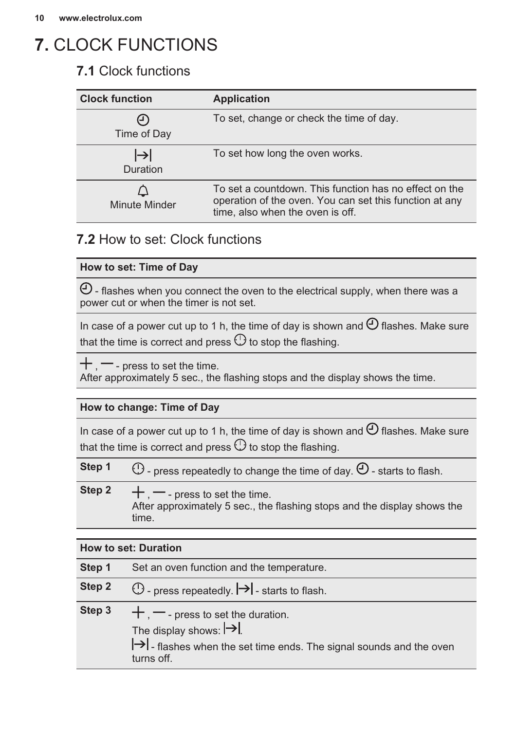### <span id="page-9-0"></span>**7.** CLOCK FUNCTIONS

### **7.1** Clock functions

| <b>Clock function</b> | <b>Application</b>                                                                                                                                    |
|-----------------------|-------------------------------------------------------------------------------------------------------------------------------------------------------|
| ⊶.<br>Time of Day     | To set, change or check the time of day.                                                                                                              |
| $\mapsto$<br>Duration | To set how long the oven works.                                                                                                                       |
| Minute Minder         | To set a countdown. This function has no effect on the<br>operation of the oven. You can set this function at any<br>time, also when the oven is off. |

### **7.2** How to set: Clock functions

#### **How to set: Time of Day**

 $\Theta$  - flashes when you connect the oven to the electrical supply, when there was a power cut or when the timer is not set.

In case of a power cut up to 1 h, the time of day is shown and  $\Theta$  flashes. Make sure that the time is correct and press  $\mathbb O$  to stop the flashing.

 $+$ ,  $-$  - press to set the time.

After approximately 5 sec., the flashing stops and the display shows the time.

#### **How to change: Time of Day**

In case of a power cut up to 1 h, the time of day is shown and  $\Theta$  flashes. Make sure that the time is correct and press  $\mathbb O$  to stop the flashing.

| Step 1 | $\bigcirc$ - press repeatedly to change the time of day. $\bigcirc$ - starts to flash.                                |
|--------|-----------------------------------------------------------------------------------------------------------------------|
| Step 2 | $+$ $-$ - press to set the time.<br>After approximately 5 sec., the flashing stops and the display shows the<br>time. |

#### **How to set: Duration**

| Step 1 | Set an oven function and the temperature.                                                                                                                                  |
|--------|----------------------------------------------------------------------------------------------------------------------------------------------------------------------------|
| Step 2 | $\odot$ - press repeatedly. $\rightarrow$ - starts to flash.                                                                                                               |
| Step 3 | $+$ , $-$ - press to set the duration.<br>The display shows: $\rightarrow$<br>$\rightarrow$ - flashes when the set time ends. The signal sounds and the oven<br>turns off. |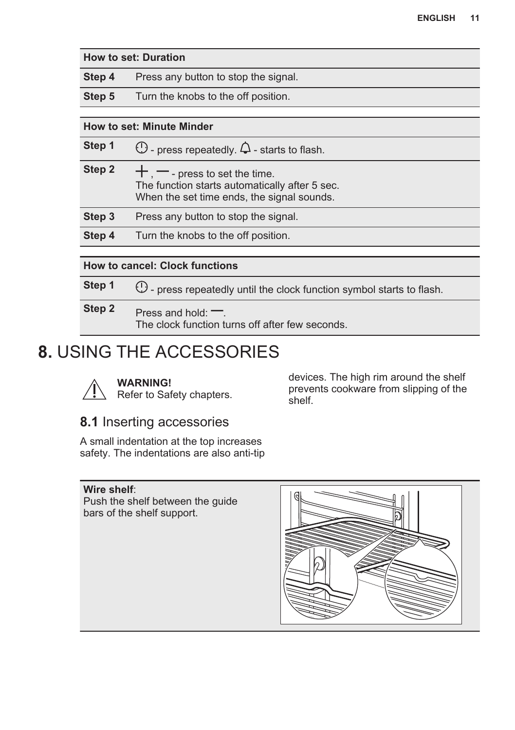<span id="page-10-0"></span>

| <b>How to set: Duration</b>           |                                                                                                                                    |  |
|---------------------------------------|------------------------------------------------------------------------------------------------------------------------------------|--|
| Step 4                                | Press any button to stop the signal.                                                                                               |  |
| Step 5                                | Turn the knobs to the off position.                                                                                                |  |
|                                       |                                                                                                                                    |  |
| <b>How to set: Minute Minder</b>      |                                                                                                                                    |  |
| Step 1                                | $\mathbb O$ - press repeatedly. $\mathsf Q$ - starts to flash.                                                                     |  |
| Step 2                                | $+$ , $-$ - press to set the time.<br>The function starts automatically after 5 sec.<br>When the set time ends, the signal sounds. |  |
| Step 3                                | Press any button to stop the signal.                                                                                               |  |
| Step 4                                | Turn the knobs to the off position.                                                                                                |  |
|                                       |                                                                                                                                    |  |
| <b>How to cancel: Clock functions</b> |                                                                                                                                    |  |
| Step 1                                | (!) - press repeatedly until the clock function symbol starts to flash.                                                            |  |
| Step 2                                | Press and hold: $\equiv$ .<br>The clock function turns off after few seconds.                                                      |  |

### **8.** USING THE ACCESSORIES



**WARNING!** Refer to Safety chapters. devices. The high rim around the shelf prevents cookware from slipping of the shelf.

### **8.1** Inserting accessories

A small indentation at the top increases safety. The indentations are also anti-tip

#### **Wire shelf**:

Push the shelf between the guide bars of the shelf support.

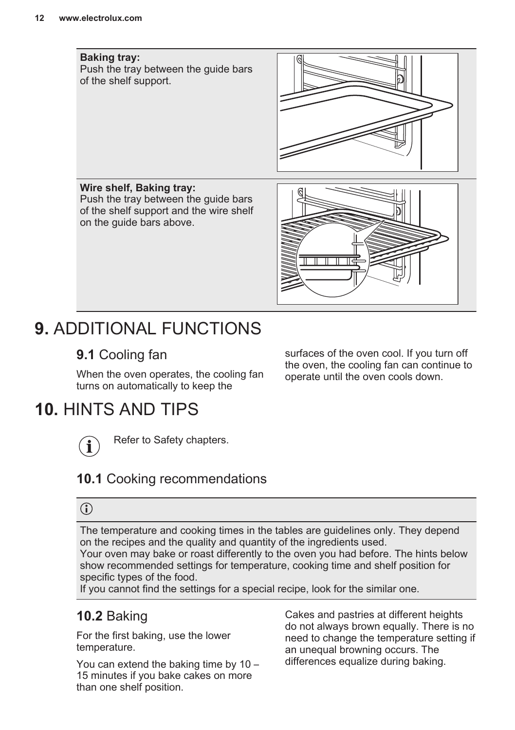#### <span id="page-11-0"></span>**Baking tray:**

Push the tray between the guide bars of the shelf support.



**Wire shelf, Baking tray:** Push the tray between the guide bars of the shelf support and the wire shelf on the guide bars above.



### **9.** ADDITIONAL FUNCTIONS

### **9.1** Cooling fan

When the oven operates, the cooling fan turns on automatically to keep the

### **10.** HINTS AND TIPS



Refer to Safety chapters.

### **10.1** Cooking recommendations

### $\bigodot$

The temperature and cooking times in the tables are guidelines only. They depend on the recipes and the quality and quantity of the ingredients used. Your oven may bake or roast differently to the oven you had before. The hints below show recommended settings for temperature, cooking time and shelf position for specific types of the food.

If you cannot find the settings for a special recipe, look for the similar one.

### **10.2** Baking

For the first baking, use the lower temperature.

You can extend the baking time by 10 – 15 minutes if you bake cakes on more than one shelf position.

Cakes and pastries at different heights do not always brown equally. There is no need to change the temperature setting if an unequal browning occurs. The differences equalize during baking.

surfaces of the oven cool. If you turn off the oven, the cooling fan can continue to operate until the oven cools down.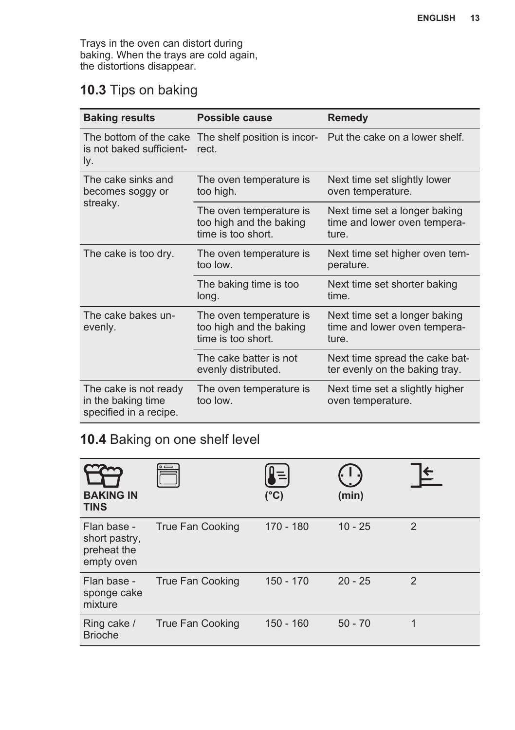Trays in the oven can distort during baking. When the trays are cold again, the distortions disappear.

### **10.3** Tips on baking

| <b>Baking results</b>                                                 | <b>Possible cause</b>                                                    | <b>Remedy</b>                                                          |
|-----------------------------------------------------------------------|--------------------------------------------------------------------------|------------------------------------------------------------------------|
| The bottom of the cake<br>is not baked sufficient-<br>ly.             | The shelf position is incor-<br>rect.                                    | Put the cake on a lower shelf.                                         |
| The cake sinks and<br>becomes soggy or                                | The oven temperature is<br>too high.                                     | Next time set slightly lower<br>oven temperature.                      |
| streaky.                                                              | The oven temperature is<br>too high and the baking<br>time is too short. | Next time set a longer baking<br>time and lower oven tempera-<br>ture. |
| The cake is too dry.                                                  | The oven temperature is<br>too low.                                      | Next time set higher oven tem-<br>perature.                            |
|                                                                       | The baking time is too<br>long.                                          | Next time set shorter baking<br>time.                                  |
| The cake bakes un-<br>evenly.                                         | The oven temperature is<br>too high and the baking<br>time is too short. | Next time set a longer baking<br>time and lower oven tempera-<br>ture. |
|                                                                       | The cake batter is not<br>evenly distributed.                            | Next time spread the cake bat-<br>ter evenly on the baking tray.       |
| The cake is not ready<br>in the baking time<br>specified in a recipe. | The oven temperature is<br>too low.                                      | Next time set a slightly higher<br>oven temperature.                   |

### **10.4** Baking on one shelf level

| <b>BAKING IN</b><br><b>TINS</b>                           |                  | $(^{\circ}C)$ | (min)     |                |
|-----------------------------------------------------------|------------------|---------------|-----------|----------------|
| Flan base -<br>short pastry,<br>preheat the<br>empty oven | True Fan Cooking | $170 - 180$   | $10 - 25$ | $\overline{2}$ |
| Flan base -<br>sponge cake<br>mixture                     | True Fan Cooking | $150 - 170$   | $20 - 25$ | $\mathfrak{p}$ |
| Ring cake /<br><b>Brioche</b>                             | True Fan Cooking | $150 - 160$   | $50 - 70$ | 1              |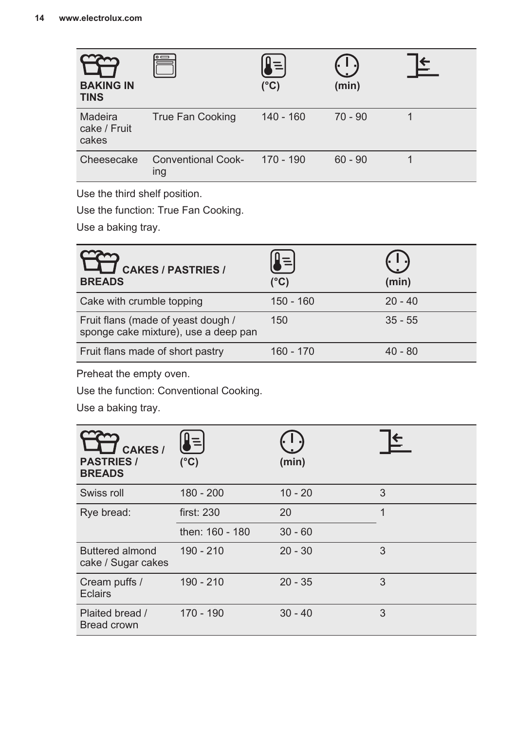| <b>BAKING IN</b><br><b>TINS</b>  | $\circ$ $\qquad$                 | $(^{\circ}C)$ | (min)     |  |
|----------------------------------|----------------------------------|---------------|-----------|--|
| Madeira<br>cake / Fruit<br>cakes | True Fan Cooking                 | $140 - 160$   | $70 - 90$ |  |
| Cheesecake                       | <b>Conventional Cook-</b><br>ing | $170 - 190$   | $60 - 90$ |  |

Use the third shelf position.

Use the function: True Fan Cooking.

Use a baking tray.

| <b>CAKES / PASTRIES /</b><br><b>BREADS</b>                                 | (°C)        | (min)     |
|----------------------------------------------------------------------------|-------------|-----------|
| Cake with crumble topping                                                  | $150 - 160$ | $20 - 40$ |
| Fruit flans (made of yeast dough /<br>sponge cake mixture), use a deep pan | 150         | $35 - 55$ |
| Fruit flans made of short pastry                                           | $160 - 170$ | $40 - 80$ |

Preheat the empty oven.

Use the function: Conventional Cooking.

Use a baking tray.

| <b>CAKES/</b><br><b>PASTRIES /</b><br><b>BREADS</b> | 틱<br>$(^{\circ}C)$ | (min)     |   |
|-----------------------------------------------------|--------------------|-----------|---|
| Swiss roll                                          | $180 - 200$        | $10 - 20$ | 3 |
| Rye bread:                                          | first: 230         | 20        | 1 |
|                                                     | then: 160 - 180    | $30 - 60$ |   |
| Buttered almond<br>cake / Sugar cakes               | $190 - 210$        | $20 - 30$ | 3 |
| Cream puffs /<br>Eclairs                            | $190 - 210$        | $20 - 35$ | 3 |
| Plaited bread /<br><b>Bread crown</b>               | $170 - 190$        | $30 - 40$ | 3 |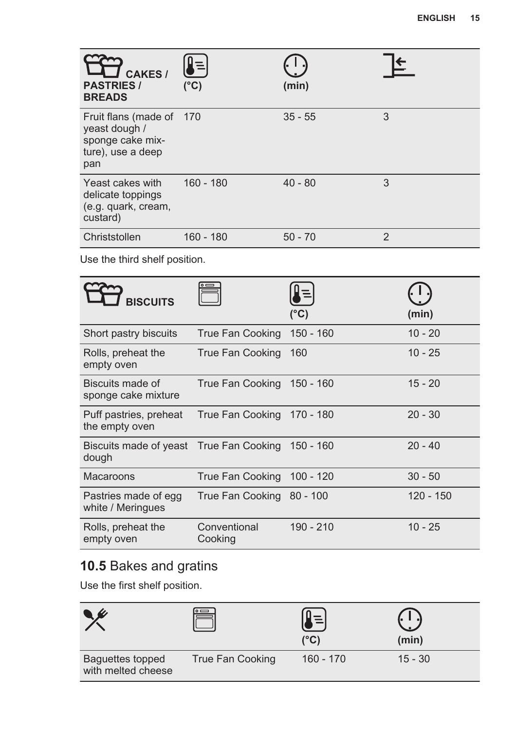| <b>CAKES/</b><br><b>PASTRIES /</b><br><b>BREADS</b>                                       | Ξ<br>(°C)   | (min)     |                |
|-------------------------------------------------------------------------------------------|-------------|-----------|----------------|
| Fruit flans (made of 170<br>yeast dough /<br>sponge cake mix-<br>ture), use a deep<br>pan |             | $35 - 55$ | 3              |
| Yeast cakes with<br>delicate toppings<br>(e.g. quark, cream,<br>custard)                  | $160 - 180$ | $40 - 80$ | 3              |
| Christstollen                                                                             | $160 - 180$ | $50 - 70$ | $\mathfrak{p}$ |

Use the third shelf position.

| <b>BISCUITS</b>                                            |                            | (°C)        | (min)       |
|------------------------------------------------------------|----------------------------|-------------|-------------|
| Short pastry biscuits                                      | True Fan Cooking           | $150 - 160$ | $10 - 20$   |
| Rolls, preheat the<br>empty oven                           | True Fan Cooking           | 160         | $10 - 25$   |
| Biscuits made of<br>sponge cake mixture                    | True Fan Cooking 150 - 160 |             | $15 - 20$   |
| Puff pastries, preheat<br>the empty oven                   | True Fan Cooking           | 170 - 180   | $20 - 30$   |
| Biscuits made of yeast True Fan Cooking 150 - 160<br>dough |                            |             | $20 - 40$   |
| Macaroons                                                  | True Fan Cooking 100 - 120 |             | $30 - 50$   |
| Pastries made of egg<br>white / Meringues                  | True Fan Cooking 80 - 100  |             | $120 - 150$ |
| Rolls, preheat the<br>empty oven                           | Conventional<br>Cooking    | $190 - 210$ | $10 - 25$   |

### **10.5** Bakes and gratins

Use the first shelf position.

|                                        |                  | (°C)        | (min)     |
|----------------------------------------|------------------|-------------|-----------|
| Baguettes topped<br>with melted cheese | True Fan Cooking | $160 - 170$ | $15 - 30$ |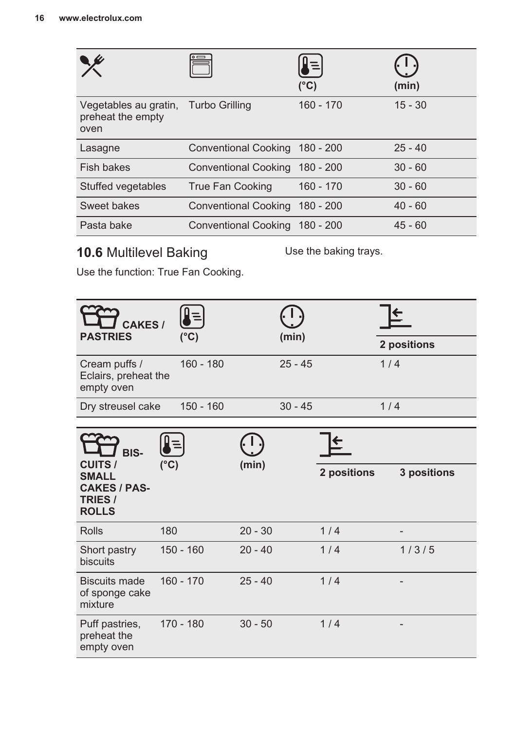|                                                                   |                             | $(^{\circ}C)$ | (min)     |
|-------------------------------------------------------------------|-----------------------------|---------------|-----------|
| Vegetables au gratin, Turbo Grilling<br>preheat the empty<br>oven |                             | $160 - 170$   | $15 - 30$ |
| Lasagne                                                           | Conventional Cooking        | 180 - 200     | $25 - 40$ |
| Fish bakes                                                        | <b>Conventional Cooking</b> | 180 - 200     | $30 - 60$ |
| Stuffed vegetables                                                | True Fan Cooking            | $160 - 170$   | $30 - 60$ |
| Sweet bakes                                                       | Conventional Cooking        | 180 - 200     | $40 - 60$ |
| Pasta bake                                                        | <b>Conventional Cooking</b> | 180 - 200     | $45 - 60$ |

### **10.6** Multilevel Baking

Use the baking trays.

Use the function: True Fan Cooking.

| CAKES /<br><b>PASTRIES</b>                                     |               |               |           |           |             |             |  |
|----------------------------------------------------------------|---------------|---------------|-----------|-----------|-------------|-------------|--|
|                                                                |               | $(^{\circ}C)$ |           | (min)     |             | 2 positions |  |
| Cream puffs /<br>Eclairs, preheat the<br>empty oven            |               | $160 - 180$   |           | $25 - 45$ |             | 1/4         |  |
| Dry streusel cake                                              |               | $150 - 160$   |           | $30 - 45$ |             | 1/4         |  |
| BIS-<br><b>CUITS /</b>                                         | $(^{\circ}C)$ |               | (min)     |           |             |             |  |
| <b>SMALL</b><br><b>CAKES / PAS-</b><br>TRIES /<br><b>ROLLS</b> |               |               |           |           | 2 positions | 3 positions |  |
| <b>Rolls</b>                                                   | 180           |               | $20 - 30$ |           | 1/4         |             |  |
| Short pastry<br>biscuits                                       |               | $150 - 160$   | $20 - 40$ |           | 1/4         | 1/3/5       |  |
| <b>Biscuits made</b><br>of sponge cake<br>mixture              |               | $160 - 170$   | $25 - 40$ |           | 1/4         |             |  |
| Puff pastries,<br>preheat the<br>empty oven                    |               | $170 - 180$   | $30 - 50$ |           | 1/4         |             |  |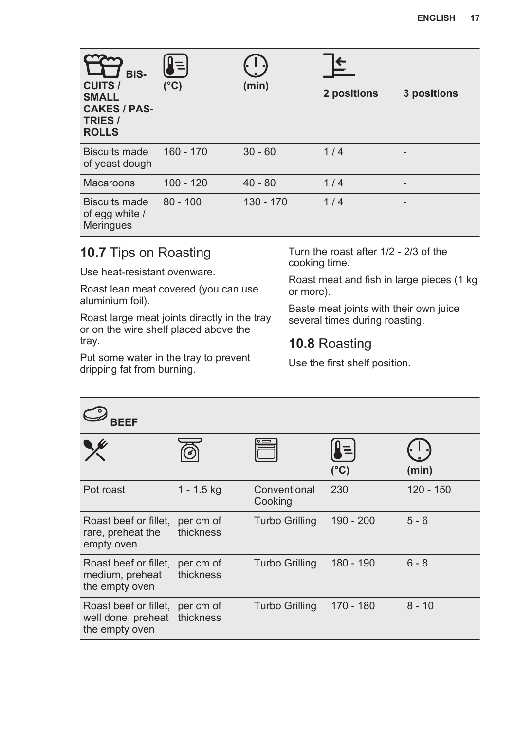| BIS-<br><b>CUITS /</b>                                                | $\equiv$      | (min)       |             |             |
|-----------------------------------------------------------------------|---------------|-------------|-------------|-------------|
| <b>SMALL</b><br><b>CAKES / PAS-</b><br><b>TRIES /</b><br><b>ROLLS</b> | $(^{\circ}C)$ |             | 2 positions | 3 positions |
| <b>Biscuits made</b><br>of yeast dough                                | $160 - 170$   | $30 - 60$   | 1/4         |             |
| <b>Macaroons</b>                                                      | $100 - 120$   | $40 - 80$   | 1/4         | -           |
| Biscuits made<br>of egg white /<br><b>Meringues</b>                   | $80 - 100$    | $130 - 170$ | 1/4         |             |

### **10.7** Tips on Roasting

Use heat-resistant ovenware.

Roast lean meat covered (you can use aluminium foil).

Roast large meat joints directly in the tray or on the wire shelf placed above the tray.

Put some water in the tray to prevent dripping fat from burning.

Turn the roast after 1/2 - 2/3 of the cooking time.

Roast meat and fish in large pieces (1 kg or more).

Baste meat joints with their own juice several times during roasting.

### **10.8** Roasting

Use the first shelf position.

| <b>BEEF</b>                                                   |                        |                         |               |           |
|---------------------------------------------------------------|------------------------|-------------------------|---------------|-----------|
|                                                               |                        |                         | $(^{\circ}C)$ | (min)     |
| Pot roast                                                     | $1 - 1.5$ kg           | Conventional<br>Cooking | 230           | 120 - 150 |
| Roast beef or fillet.<br>rare, preheat the<br>empty oven      | per cm of<br>thickness | <b>Turbo Grilling</b>   | 190 - 200     | $5 - 6$   |
| Roast beef or fillet,<br>medium, preheat<br>the empty oven    | per cm of<br>thickness | Turbo Grilling          | 180 - 190     | $6 - 8$   |
| Roast beef or fillet,<br>well done, preheat<br>the empty oven | per cm of<br>thickness | Turbo Grilling          | 170 - 180     | $8 - 10$  |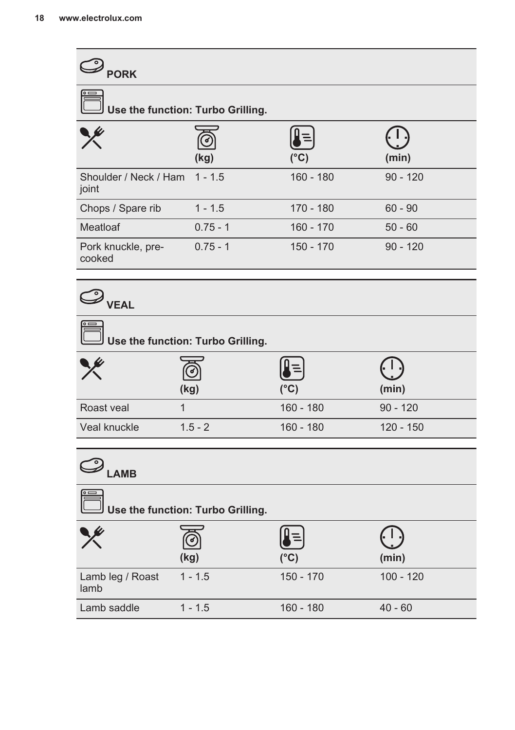| $\bigcirc$ pork                   |                                   |               |             |  |  |
|-----------------------------------|-----------------------------------|---------------|-------------|--|--|
|                                   | Use the function: Turbo Grilling. |               |             |  |  |
|                                   | (kg)                              | $(^{\circ}C)$ | (min)       |  |  |
| Shoulder / Neck / Ham<br>joint    | $1 - 1.5$                         | $160 - 180$   | $90 - 120$  |  |  |
| Chops / Spare rib                 | $1 - 1.5$                         | 170 - 180     | $60 - 90$   |  |  |
| Meatloaf                          | $0.75 - 1$                        | $160 - 170$   | $50 - 60$   |  |  |
| Pork knuckle, pre-<br>cooked      | $0.75 - 1$                        | 150 - 170     | $90 - 120$  |  |  |
| $\mathscr{D}_{\mathsf{VEAL}}$     |                                   |               |             |  |  |
|                                   | Use the function: Turbo Grilling. |               |             |  |  |
|                                   | (kg)                              | (°C)          | (min)       |  |  |
| Roast veal                        | 1                                 | $160 - 180$   | $90 - 120$  |  |  |
| Veal knuckle                      | $1.5 - 2$                         | $160 - 180$   | $120 - 150$ |  |  |
| $\mathcal{D}_{\mathsf{LAMB}}$     |                                   |               |             |  |  |
| Use the function: Turbo Grilling. |                                   |               |             |  |  |
|                                   | (kg)                              | $(^{\circ}C)$ | (min)       |  |  |
| Lamb leg / Roast<br>lamb          | $1 - 1.5$                         | $150 - 170$   | $100 - 120$ |  |  |
| Lamb saddle                       | $1 - 1.5$                         | $160 - 180$   | $40 - 60$   |  |  |
|                                   |                                   |               |             |  |  |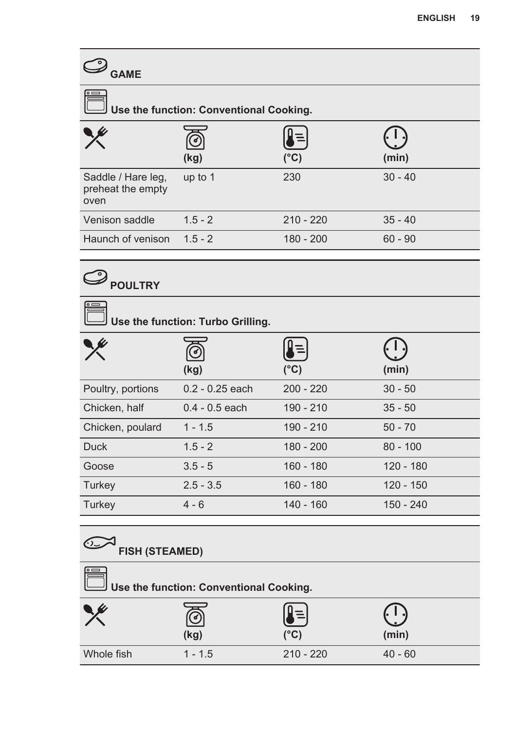| <b>GAME</b>                                     |            |               |           |
|-------------------------------------------------|------------|---------------|-----------|
| l∘ —<br>Use the function: Conventional Cooking. |            |               |           |
|                                                 | (ව<br>(kg) | $(^{\circ}C)$ | (min)     |
| Saddle / Hare leg,<br>preheat the empty<br>oven | up to 1    | 230           | $30 - 40$ |
| Venison saddle                                  | $1.5 - 2$  | $210 - 220$   | $35 - 40$ |
| Haunch of venison                               | $1.5 - 2$  | 180 - 200     | $60 - 90$ |
|                                                 |            |               |           |

# **POULTRY**

| Use the function: Turbo Grilling. |                    |               |             |  |
|-----------------------------------|--------------------|---------------|-------------|--|
|                                   | $\epsilon$<br>(kg) | $(^{\circ}C)$ | (min)       |  |
| Poultry, portions                 | $0.2 - 0.25$ each  | $200 - 220$   | $30 - 50$   |  |
| Chicken, half                     | $0.4 - 0.5$ each   | 190 - 210     | $35 - 50$   |  |
| Chicken, poulard                  | $1 - 1.5$          | 190 - 210     | $50 - 70$   |  |
| <b>Duck</b>                       | $1.5 - 2$          | $180 - 200$   | $80 - 100$  |  |
| Goose                             | $3.5 - 5$          | $160 - 180$   | 120 - 180   |  |
| Turkey                            | $2.5 - 3.5$        | $160 - 180$   | $120 - 150$ |  |
| Turkey                            | $4 - 6$            | $140 - 160$   | 150 - 240   |  |

# **FISH (STEAMED)**

| ∣∘⊏<br>$\exists$ Use the function: Conventional Cooking. |           |             |           |
|----------------------------------------------------------|-----------|-------------|-----------|
|                                                          | (kg)      | (°C)        | (min)     |
| Whole fish                                               | $1 - 1.5$ | $210 - 220$ | $40 - 60$ |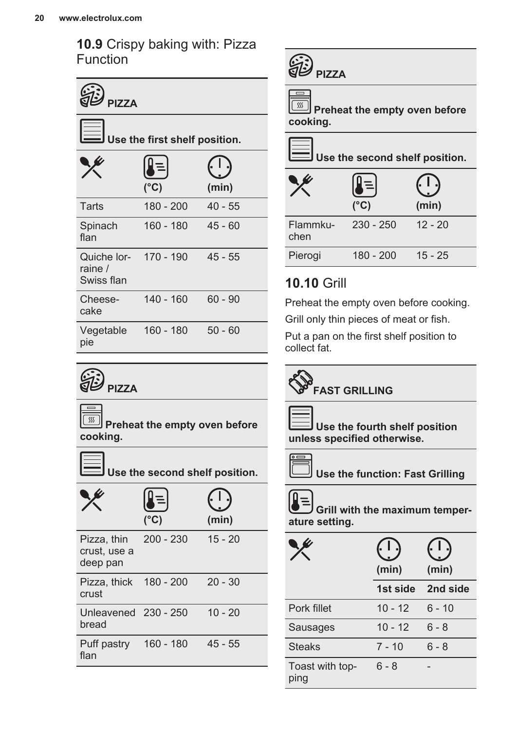**10.9** Crispy baking with: Pizza Function

| <b>PI77A</b>                                   |                               |           |  |
|------------------------------------------------|-------------------------------|-----------|--|
|                                                | Use the first shelf position. |           |  |
|                                                | $(^{\circ}C)$                 | (min)     |  |
| Tarts                                          | 180 - 200                     | $40 - 55$ |  |
| Spinach<br>flan                                | $160 - 180$                   | $45 - 60$ |  |
| Quiche lor- 170 - 190<br>raine /<br>Swiss flan |                               | $45 - 55$ |  |
| Cheese-<br>cake                                | 140 - 160                     | $60 - 90$ |  |
| Vegetable<br>pie                               | 160 - 180                     | $50 - 60$ |  |



 $\sqrt{ss}$  **Preheat the empty oven before cooking.**

 **Use the second shelf position.**

|                                         | (°C)        | (min)     |
|-----------------------------------------|-------------|-----------|
| Pizza, thin<br>crust. use a<br>deep pan | $200 - 230$ | $15 - 20$ |
| Pizza, thick 180 - 200<br>crust         |             | $20 - 30$ |
| Unleavened 230 - 250<br>bread           |             | $10 - 20$ |
| Puff pastry<br>flan                     | $160 - 180$ | $45 - 55$ |

| <b>PI77A</b> |
|--------------|
|              |

 $\overline{\phantom{a}}$ 

**Fig. 3** Preheat the empty oven before **cooking.**

 **Use the second shelf position.**

|                  | $(^{\circ}C)$ | (min)     |
|------------------|---------------|-----------|
| Flammku-<br>chen | $230 - 250$   | $12 - 20$ |
| Pierogi          | 180 - 200     | $15 - 25$ |

### **10.10** Grill

Preheat the empty oven before cooking.

Grill only thin pieces of meat or fish.

Put a pan on the first shelf position to collect fat.

# **FAST GRILLING**



 **Use the fourth shelf position unless specified otherwise.**



 **Use the function: Fast Grilling**



 **Grill with the maximum temper‐ ature setting.**

|                         | (min)     | (min)    |
|-------------------------|-----------|----------|
|                         | 1st side  | 2nd side |
| Pork fillet             | $10 - 12$ | $6 - 10$ |
| Sausages                | $10 - 12$ | 6 - 8    |
| <b>Steaks</b>           | $7 - 10$  | $6 - 8$  |
| Toast with top-<br>ping | $6 - 8$   |          |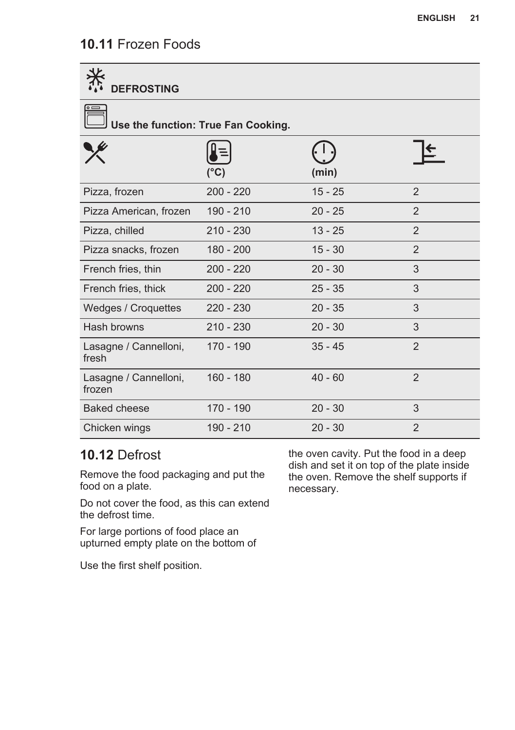### **10.11** Frozen Foods

| <b>DEFROSTING</b>                   |               |           |                |  |
|-------------------------------------|---------------|-----------|----------------|--|
| Use the function: True Fan Cooking. |               |           |                |  |
|                                     | $(^{\circ}C)$ | (min)     |                |  |
| Pizza, frozen                       | $200 - 220$   | $15 - 25$ | 2              |  |
| Pizza American, frozen              | 190 - 210     | $20 - 25$ | 2              |  |
| Pizza, chilled                      | $210 - 230$   | $13 - 25$ | $\overline{2}$ |  |
| Pizza snacks, frozen                | 180 - 200     | $15 - 30$ | $\overline{2}$ |  |
| French fries, thin                  | $200 - 220$   | $20 - 30$ | 3              |  |
| French fries, thick                 | $200 - 220$   | $25 - 35$ | 3              |  |
| Wedges / Croquettes                 | $220 - 230$   | $20 - 35$ | 3              |  |
| Hash browns                         | $210 - 230$   | $20 - 30$ | 3              |  |
| Lasagne / Cannelloni,<br>fresh      | $170 - 190$   | $35 - 45$ | 2              |  |
| Lasagne / Cannelloni,<br>frozen     | $160 - 180$   | $40 - 60$ | 2              |  |
| <b>Baked cheese</b>                 | 170 - 190     | $20 - 30$ | 3              |  |
| Chicken wings                       | 190 - 210     | $20 - 30$ | $\overline{2}$ |  |

### **10.12** Defrost

Remove the food packaging and put the food on a plate.

Do not cover the food, as this can extend the defrost time.

For large portions of food place an upturned empty plate on the bottom of

Use the first shelf position.

the oven cavity. Put the food in a deep dish and set it on top of the plate inside the oven. Remove the shelf supports if necessary.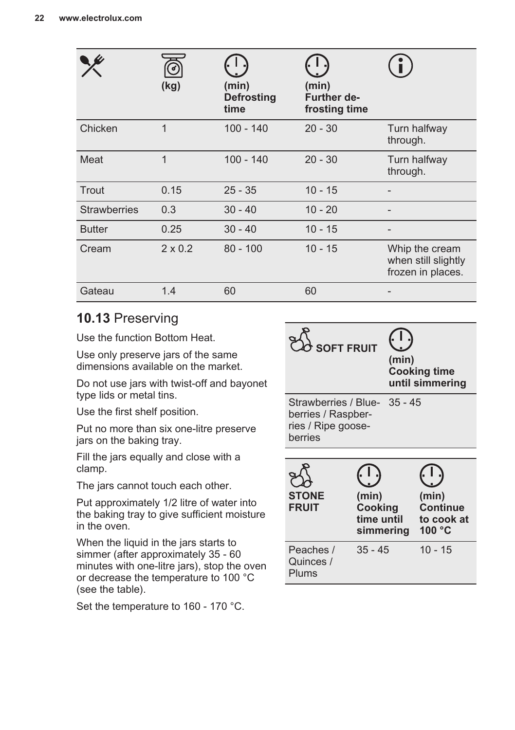|                     | (kg)           | (min)<br><b>Defrosting</b><br>time | (min)<br>Further de-<br>frosting time |                                                            |
|---------------------|----------------|------------------------------------|---------------------------------------|------------------------------------------------------------|
| Chicken             | 1              | $100 - 140$                        | $20 - 30$                             | Turn halfway<br>through.                                   |
| Meat                | 1              | $100 - 140$                        | $20 - 30$                             | Turn halfway<br>through.                                   |
| Trout               | 0.15           | $25 - 35$                          | $10 - 15$                             |                                                            |
| <b>Strawberries</b> | 0.3            | $30 - 40$                          | $10 - 20$                             |                                                            |
| <b>Butter</b>       | 0.25           | $30 - 40$                          | $10 - 15$                             |                                                            |
| Cream               | $2 \times 0.2$ | $80 - 100$                         | $10 - 15$                             | Whip the cream<br>when still slightly<br>frozen in places. |
| Gateau              | 1.4            | 60                                 | 60                                    |                                                            |

### **10.13** Preserving

Use the function Bottom Heat.

Use only preserve jars of the same dimensions available on the market.

Do not use jars with twist-off and bayonet type lids or metal tins.

Use the first shelf position.

Put no more than six one-litre preserve jars on the baking tray.

Fill the jars equally and close with a clamp.

The jars cannot touch each other.

Put approximately 1/2 litre of water into the baking tray to give sufficient moisture in the oven.

When the liquid in the jars starts to simmer (after approximately 35 - 60 minutes with one-litre jars), stop the oven or decrease the temperature to 100 °C (see the table).

Set the temperature to 160 - 170 °C.

| <b>SOFT FRUIT</b>                                                                   |                                | (min)     | <b>Cooking time</b><br>until simmering                    |
|-------------------------------------------------------------------------------------|--------------------------------|-----------|-----------------------------------------------------------|
| Strawberries / Blue- 35 - 45<br>berries / Raspber-<br>ries / Ripe goose-<br>berries |                                |           |                                                           |
| <b>STONE</b><br><b>FRUIT</b>                                                        | (min)<br>Cooking<br>time until | simmering | (min)<br><b>Continue</b><br>to cook at<br>100 $\degree$ C |
| Peaches /<br>Quinces /<br>Plums                                                     | $35 - 45$                      |           | $10 - 15$                                                 |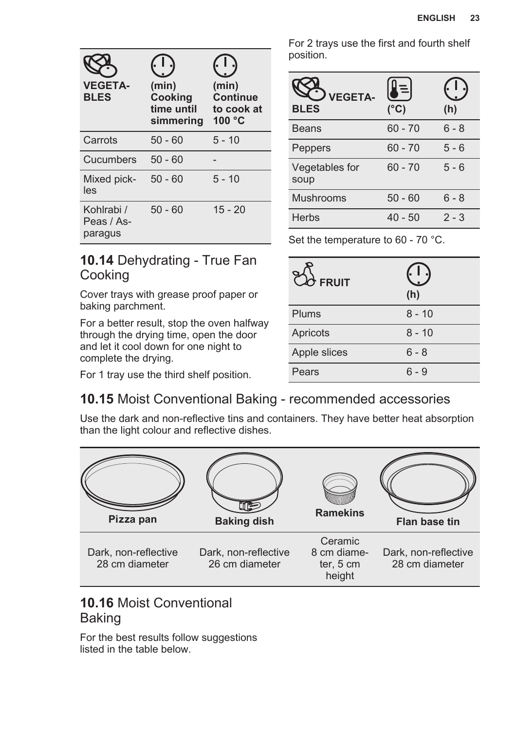| <b>VEGETA-</b>                      | (min)                              | (min)                                            |
|-------------------------------------|------------------------------------|--------------------------------------------------|
| <b>BLES</b>                         | Cooking<br>time until<br>simmering | <b>Continue</b><br>to cook at<br>100 $\degree$ C |
| Carrots                             | 50 - 60                            | $5 - 10$                                         |
| Cucumbers                           | $50 - 60$                          |                                                  |
| Mixed pick-<br>les                  | $50 - 60$                          | $5 - 10$                                         |
| Kohlrabi /<br>Peas / As-<br>paragus | $50 - 60$                          | $15 - 20$                                        |

For 2 trays use the first and fourth shelf position.

| <b>VEGETA-</b><br><b>BLES</b> | $(^{\circ}C)$ | (h)     |
|-------------------------------|---------------|---------|
| <b>Beans</b>                  | $60 - 70$     | $6 - 8$ |
| Peppers                       | $60 - 70$     | $5 - 6$ |
| Vegetables for<br>soup        | $60 - 70$     | $5 - 6$ |
| Mushrooms                     | $50 - 60$     | $6 - 8$ |
| <b>Herbs</b>                  | $40 - 50$     | $2 - 3$ |

**(h)**

Set the temperature to 60 - 70 °C.

Plums 8 - 10 Apricots 8 - 10 Apple slices 6 - 8 Pears 6 - 9

 **FRUIT**

### **10.14** Dehydrating - True Fan Cooking

Cover trays with grease proof paper or baking parchment.

For a better result, stop the oven halfway through the drying time, open the door and let it cool down for one night to complete the drying.

For 1 tray use the third shelf position.

### **10.15** Moist Conventional Baking - recommended accessories

Use the dark and non-reflective tins and containers. They have better heat absorption than the light colour and reflective dishes.



### **10.16** Moist Conventional Baking

For the best results follow suggestions listed in the table below.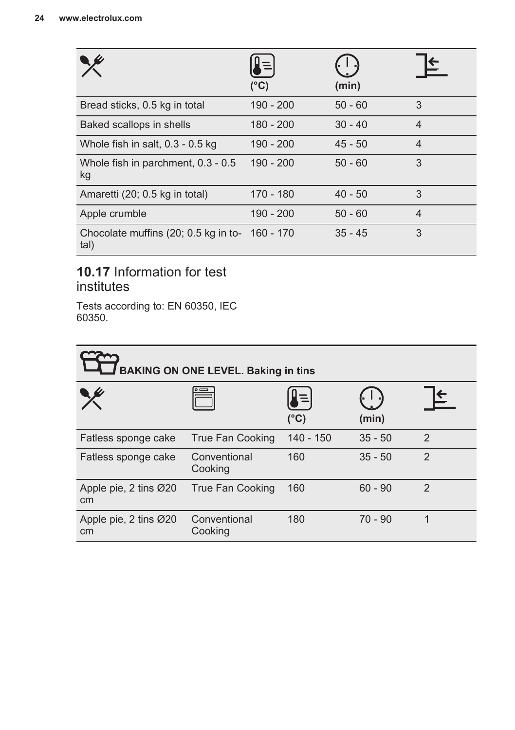|                                                        | $(^{\circ}C)$ | (min)     |                |
|--------------------------------------------------------|---------------|-----------|----------------|
| Bread sticks, 0.5 kg in total                          | 190 - 200     | $50 - 60$ | 3              |
| Baked scallops in shells                               | $180 - 200$   | $30 - 40$ | $\overline{4}$ |
| Whole fish in salt, 0.3 - 0.5 kg                       | 190 - 200     | $45 - 50$ | $\overline{4}$ |
| Whole fish in parchment, 0.3 - 0.5<br>kg               | $190 - 200$   | $50 - 60$ | 3              |
| Amaretti (20; 0.5 kg in total)                         | 170 - 180     | $40 - 50$ | 3              |
| Apple crumble                                          | 190 - 200     | $50 - 60$ | $\overline{4}$ |
| Chocolate muffins (20; 0.5 kg in to- 160 - 170<br>tal) |               | $35 - 45$ | 3              |

### **10.17** Information for test institutes

Tests according to: EN 60350, IEC 60350.

| <b>BAKING ON ONE LEVEL. Baking in tins</b> |                         |                     |           |                |
|--------------------------------------------|-------------------------|---------------------|-----------|----------------|
|                                            |                         | ļ≡<br>$(^{\circ}C)$ | (min)     |                |
| Fatless sponge cake                        | True Fan Cooking        | 140 - 150           | $35 - 50$ | $\mathfrak{p}$ |
| Fatless sponge cake                        | Conventional<br>Cooking | 160                 | $35 - 50$ | $\mathfrak{p}$ |
| Apple pie, 2 tins Ø20<br>cm                | True Fan Cooking        | 160                 | $60 - 90$ | $\mathfrak{p}$ |
| Apple pie, 2 tins Ø20<br>cm                | Conventional<br>Cooking | 180                 | $70 - 90$ | 1              |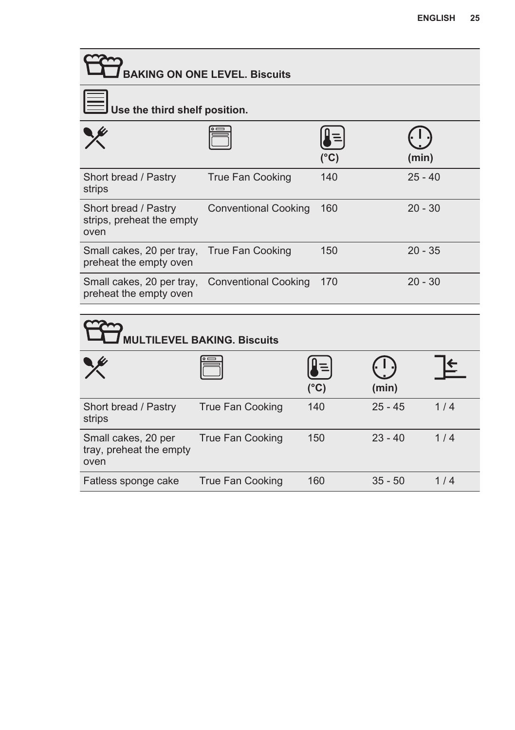| <b>BAKING ON ONE LEVEL. Biscuits</b>                      |                                   |               |           |           |
|-----------------------------------------------------------|-----------------------------------|---------------|-----------|-----------|
| Use the third shelf position.                             |                                   |               |           |           |
|                                                           |                                   | $(^\circ C)$  |           | (min)     |
| Short bread / Pastry<br>strips                            | <b>True Fan Cooking</b>           | 140           |           | $25 - 40$ |
| Short bread / Pastry<br>strips, preheat the empty<br>oven | <b>Conventional Cooking</b>       | 160           |           | $20 - 30$ |
| Small cakes, 20 per tray,<br>preheat the empty oven       | <b>True Fan Cooking</b>           | 150           |           | $20 - 35$ |
| Small cakes, 20 per tray,<br>preheat the empty oven       | <b>Conventional Cooking</b>       | 170           |           | $20 - 30$ |
|                                                           | <b>ULTILEVEL BAKING, Biscuits</b> |               |           |           |
|                                                           |                                   | $(^{\circ}C)$ | (min)     |           |
| Short bread / Pastry<br>strips                            | True Fan Cooking                  | 140           | $25 - 45$ | 1/4       |
| Small cakes, 20 per<br>tray, preheat the empty<br>oven    | <b>True Fan Cooking</b>           | 150           | $23 - 40$ | 1/4       |
| Fatless sponge cake                                       | <b>True Fan Cooking</b>           | 160           | $35 - 50$ | 1/4       |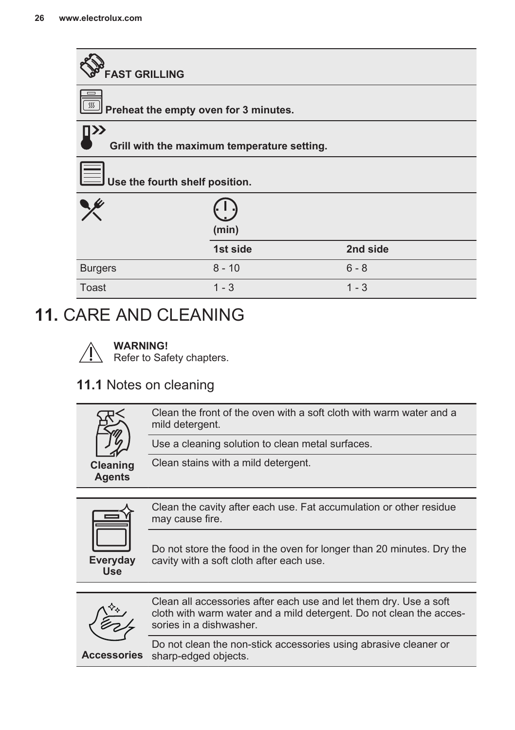<span id="page-25-0"></span>

### **11.** CARE AND CLEANING

#### **WARNING!**

Refer to Safety chapters.

### **11.1** Notes on cleaning

|                                  | Clean the front of the oven with a soft cloth with warm water and a<br>mild detergent. |
|----------------------------------|----------------------------------------------------------------------------------------|
|                                  | Use a cleaning solution to clean metal surfaces.                                       |
| <b>Cleaning</b><br><b>Agents</b> | Clean stains with a mild detergent.                                                    |
|                                  |                                                                                        |



Clean the cavity after each use. Fat accumulation or other residue may cause fire.

Do not store the food in the oven for longer than 20 minutes. Dry the cavity with a soft cloth after each use.



Clean all accessories after each use and let them dry. Use a soft cloth with warm water and a mild detergent. Do not clean the acces‐ sories in a dishwasher.

**Accessories** sharp-edged objects. Do not clean the non-stick accessories using abrasive cleaner or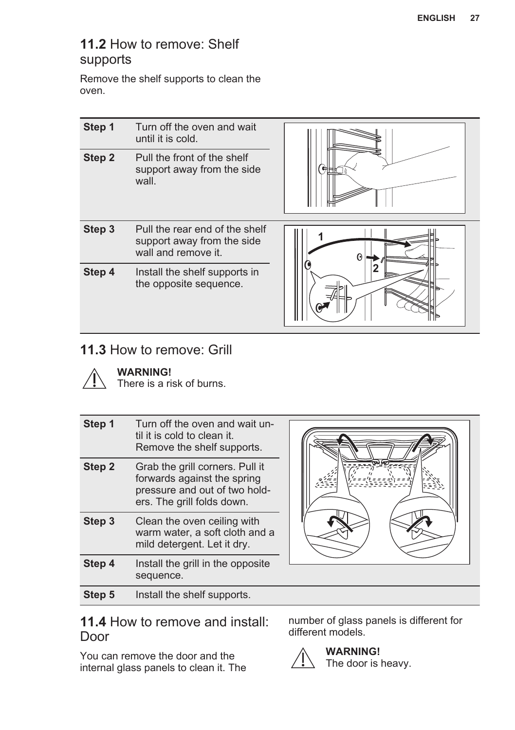### **11.2** How to remove: Shelf supports

Remove the shelf supports to clean the oven.

| Step 1 | Turn off the oven and wait<br>until it is cold.                                     |             |
|--------|-------------------------------------------------------------------------------------|-------------|
| Step 2 | Pull the front of the shelf<br>support away from the side<br>wall.                  | <b>GHHL</b> |
| Step 3 | Pull the rear end of the shelf<br>support away from the side<br>wall and remove it. | Θ           |
| Step 4 | Install the shelf supports in<br>the opposite sequence.                             |             |

### **11.3** How to remove: Grill



**WARNING!**

There is a risk of burns.

| Step 1 | Turn off the oven and wait un-<br>til it is cold to clean it.<br>Remove the shelf supports.                                   |  |
|--------|-------------------------------------------------------------------------------------------------------------------------------|--|
| Step 2 | Grab the grill corners. Pull it<br>forwards against the spring<br>pressure and out of two hold-<br>ers. The grill folds down. |  |
| Step 3 | Clean the oven ceiling with<br>warm water, a soft cloth and a<br>mild detergent. Let it dry.                                  |  |
| Step 4 | Install the grill in the opposite<br>sequence.                                                                                |  |
| Step 5 | Install the shelf supports.                                                                                                   |  |

### **11.4** How to remove and install: Door

You can remove the door and the internal glass panels to clean it. The number of glass panels is different for different models.

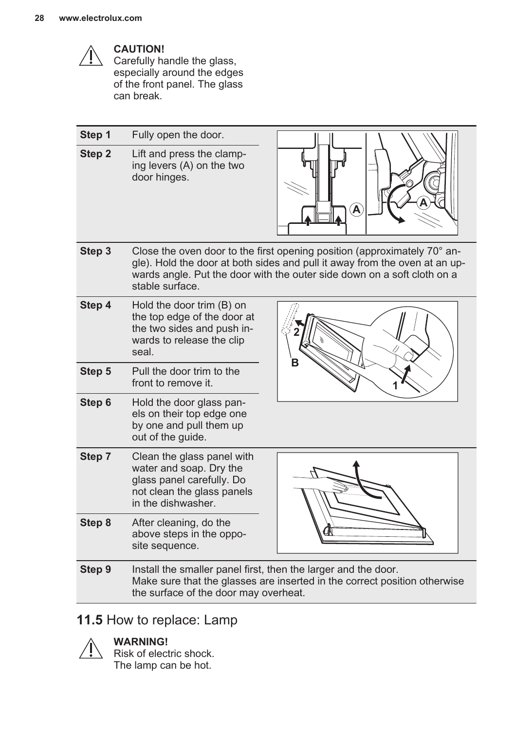

#### **CAUTION!**

Carefully handle the glass, especially around the edges of the front panel. The glass can break.

| Step 1 | Fully open the door.                                                                                                                   |                                                                                                                                                                                                                                            |
|--------|----------------------------------------------------------------------------------------------------------------------------------------|--------------------------------------------------------------------------------------------------------------------------------------------------------------------------------------------------------------------------------------------|
| Step 2 | Lift and press the clamp-<br>ing levers (A) on the two<br>door hinges.                                                                 | $\widehat{\mathsf{A}}$                                                                                                                                                                                                                     |
| Step 3 | stable surface.                                                                                                                        | Close the oven door to the first opening position (approximately $70^{\circ}$ an-<br>gle). Hold the door at both sides and pull it away from the oven at an up-<br>wards angle. Put the door with the outer side down on a soft cloth on a |
| Step 4 | Hold the door trim (B) on<br>the top edge of the door at<br>the two sides and push in-<br>wards to release the clip<br>seal.           |                                                                                                                                                                                                                                            |
| Step 5 | Pull the door trim to the<br>front to remove it.                                                                                       |                                                                                                                                                                                                                                            |
| Step 6 | Hold the door glass pan-<br>els on their top edge one<br>by one and pull them up<br>out of the guide.                                  |                                                                                                                                                                                                                                            |
| Step 7 | Clean the glass panel with<br>water and soap. Dry the<br>glass panel carefully. Do<br>not clean the glass panels<br>in the dishwasher. |                                                                                                                                                                                                                                            |
| Step 8 | After cleaning, do the<br>above steps in the oppo-<br>site sequence.                                                                   |                                                                                                                                                                                                                                            |
| Step 9 | Install the smaller panel first, then the larger and the door.<br>the surface of the door may overheat.                                | Make sure that the glasses are inserted in the correct position otherwise                                                                                                                                                                  |

### **11.5** How to replace: Lamp

### **WARNING!**

Risk of electric shock. The lamp can be hot.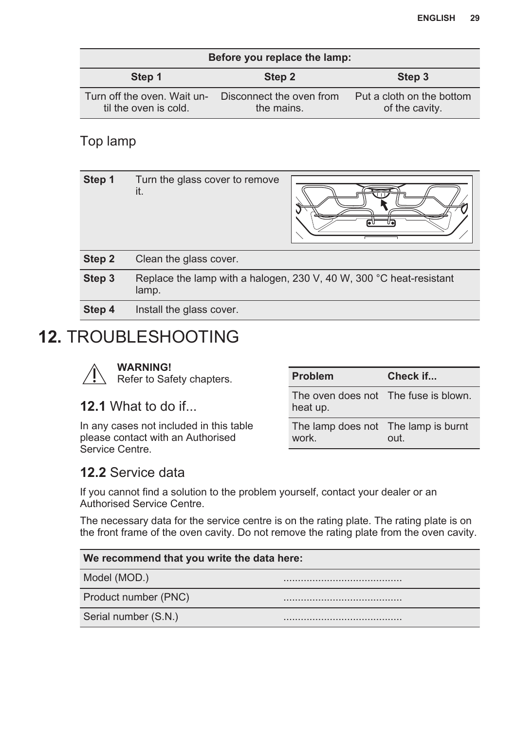<span id="page-28-0"></span>

| Before you replace the lamp:                         |                                        |                                             |
|------------------------------------------------------|----------------------------------------|---------------------------------------------|
| Step 1                                               | Step 2                                 | Step 3                                      |
| Turn off the oven. Wait un-<br>til the oven is cold. | Disconnect the oven from<br>the mains. | Put a cloth on the bottom<br>of the cavity. |

### Top lamp

| Step 1 | Turn the glass cover to remove<br>it.                                        |
|--------|------------------------------------------------------------------------------|
| Step 2 | Clean the glass cover.                                                       |
| Step 3 | Replace the lamp with a halogen, 230 V, 40 W, 300 °C heat-resistant<br>lamp. |
| Step 4 | Install the glass cover.                                                     |

### **12.** TROUBLESHOOTING



### **12.1** What to do if...

In any cases not included in this table please contact with an Authorised Service Centre.

| Problem                                          | Check if |
|--------------------------------------------------|----------|
| The oven does not The fuse is blown.<br>heat up. |          |
| The lamp does not The lamp is burnt<br>work.     | out.     |

### **12.2** Service data

If you cannot find a solution to the problem yourself, contact your dealer or an Authorised Service Centre.

The necessary data for the service centre is on the rating plate. The rating plate is on the front frame of the oven cavity. Do not remove the rating plate from the oven cavity.

| We recommend that you write the data here: |  |  |
|--------------------------------------------|--|--|
| Model (MOD.)                               |  |  |
| Product number (PNC)                       |  |  |
| Serial number (S.N.)                       |  |  |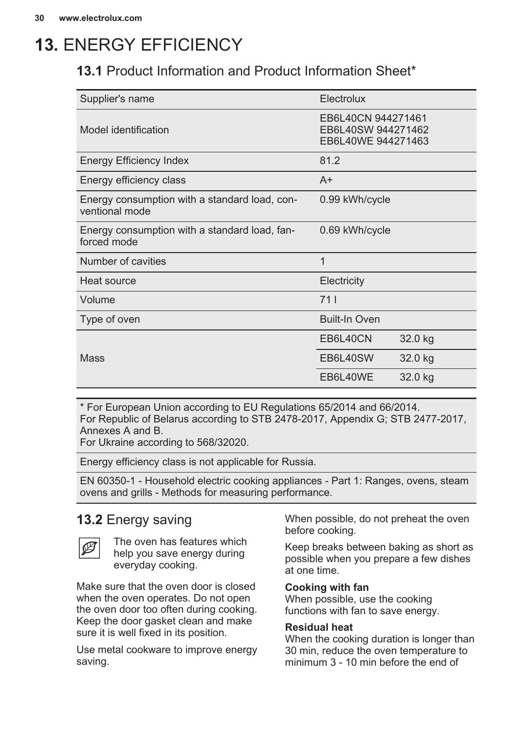### <span id="page-29-0"></span>**13.** ENERGY EFFICIENCY

### **13.1** Product Information and Product Information Sheet\*

| Supplier's name                                                 | Electrolux                                                     |         |
|-----------------------------------------------------------------|----------------------------------------------------------------|---------|
| Model identification                                            | EB6L40CN 944271461<br>EB6L40SW 944271462<br>EB6L40WE 944271463 |         |
| Energy Efficiency Index                                         | 81.2                                                           |         |
| Energy efficiency class                                         | $A+$                                                           |         |
| Energy consumption with a standard load, con-<br>ventional mode | 0.99 kWh/cycle                                                 |         |
| Energy consumption with a standard load, fan-<br>forced mode    | 0.69 kWh/cycle                                                 |         |
| Number of cavities                                              | 1                                                              |         |
| Heat source                                                     | Electricity                                                    |         |
| Volume                                                          | 711                                                            |         |
| Type of oven                                                    | <b>Built-In Oven</b>                                           |         |
|                                                                 | EB6L40CN                                                       | 32.0 kg |
| Mass                                                            | EB6L40SW                                                       | 32.0 kg |
|                                                                 | EB6L40WE                                                       | 32.0 kg |

\* For European Union according to EU Regulations 65/2014 and 66/2014. For Republic of Belarus according to STB 2478-2017, Appendix G; STB 2477-2017, Annexes A and B.

For Ukraine according to 568/32020.

Energy efficiency class is not applicable for Russia.

EN 60350-1 - Household electric cooking appliances - Part 1: Ranges, ovens, steam ovens and grills - Methods for measuring performance.

### **13.2** Energy saving



The oven has features which help you save energy during everyday cooking.

Make sure that the oven door is closed when the oven operates. Do not open the oven door too often during cooking. Keep the door gasket clean and make sure it is well fixed in its position.

Use metal cookware to improve energy saving.

When possible, do not preheat the oven before cooking.

Keep breaks between baking as short as possible when you prepare a few dishes at one time.

#### **Cooking with fan**

When possible, use the cooking functions with fan to save energy.

#### **Residual heat**

When the cooking duration is longer than 30 min, reduce the oven temperature to minimum 3 - 10 min before the end of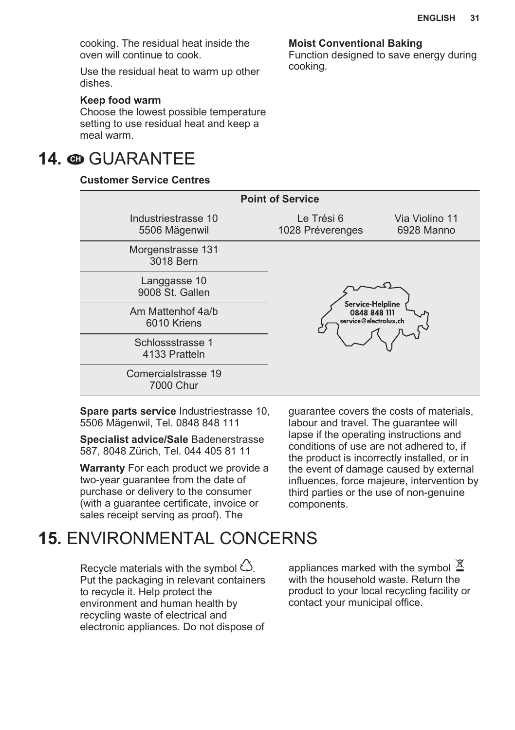<span id="page-30-0"></span>cooking. The residual heat inside the oven will continue to cook.

Use the residual heat to warm up other dishes.

#### **Keep food warm**

Choose the lowest possible temperature setting to use residual heat and keep a meal warm.

### **14. © GUARANTEE**

#### **Customer Service Centres**

**Moist Conventional Baking**

Function designed to save energy during cooking.

| <b>Point of Service</b>              |                                                                |  |
|--------------------------------------|----------------------------------------------------------------|--|
| Industriestrasse 10<br>5506 Mägenwil | Le Trési 6<br>Via Violino 11<br>1028 Préverenges<br>6928 Manno |  |
| Morgenstrasse 131<br>3018 Bern       |                                                                |  |
| Langgasse 10<br>9008 St. Gallen      |                                                                |  |
| Am Mattenhof 4a/b<br>6010 Kriens     | Service Helpline<br>0848 848 111<br>service@electrolux.ch      |  |
| Schlossstrasse 1<br>4133 Pratteln    |                                                                |  |
| Comercialstrasse 19<br>7000 Chur     |                                                                |  |

**Spare parts service** Industriestrasse 10, 5506 Mägenwil, Tel. 0848 848 111

**Specialist advice/Sale** Badenerstrasse 587, 8048 Zürich, Tel. 044 405 81 11

**Warranty** For each product we provide a two-year guarantee from the date of purchase or delivery to the consumer (with a guarantee certificate, invoice or sales receipt serving as proof). The

guarantee covers the costs of materials, labour and travel. The quarantee will lapse if the operating instructions and conditions of use are not adhered to, if the product is incorrectly installed, or in the event of damage caused by external influences, force majeure, intervention by third parties or the use of non-genuine components.

### **15.** ENVIRONMENTAL CONCERNS

Recycle materials with the symbol  $\check{\omega}$ . Put the packaging in relevant containers to recycle it. Help protect the environment and human health by recycling waste of electrical and electronic appliances. Do not dispose of appliances marked with the symbol  $\frac{\cancel{X}}{\cancel{X}}$ with the household waste. Return the product to your local recycling facility or contact your municipal office.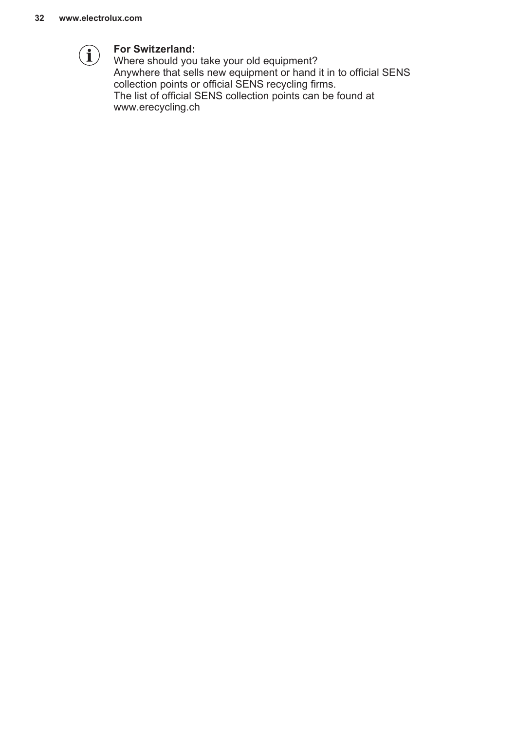

#### **For Switzerland:**

Where should you take your old equipment? Anywhere that sells new equipment or hand it in to official SENS collection points or official SENS recycling firms. The list of official SENS collection points can be found at www.erecycling.ch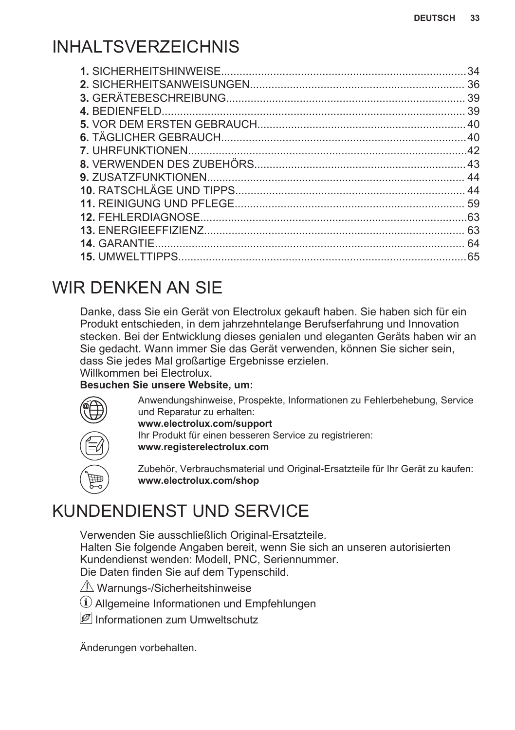### <span id="page-32-0"></span>INHAI TSVERZEICHNIS

| .34 |
|-----|
|     |
|     |
|     |
|     |
|     |
|     |
|     |
|     |
|     |
|     |
|     |
|     |
|     |
|     |
|     |

### WIR DENKEN AN SIE

Danke, dass Sie ein Gerät von Electrolux gekauft haben. Sie haben sich für ein Produkt entschieden, in dem jahrzehntelange Berufserfahrung und Innovation stecken. Bei der Entwicklung dieses genialen und eleganten Geräts haben wir an Sie gedacht. Wann immer Sie das Gerät verwenden, können Sie sicher sein, dass Sie jedes Mal großartige Ergebnisse erzielen.

Willkommen bei Electrolux.

#### **Besuchen Sie unsere Website, um:**



Anwendungshinweise, Prospekte, Informationen zu Fehlerbehebung, Service und Reparatur zu erhalten:

**www.electrolux.com/support**

Ihr Produkt für einen besseren Service zu registrieren: **www.registerelectrolux.com**

Zubehör, Verbrauchsmaterial und Original-Ersatzteile für Ihr Gerät zu kaufen: **www.electrolux.com/shop**

### KUNDENDIENST UND SERVICE

Verwenden Sie ausschließlich Original-Ersatzteile. Halten Sie folgende Angaben bereit, wenn Sie sich an unseren autorisierten Kundendienst wenden: Modell, PNC, Seriennummer. Die Daten finden Sie auf dem Typenschild.

 $\triangle$  Warnungs-/Sicherheitshinweise

Allgemeine Informationen und Empfehlungen

Informationen zum Umweltschutz

Änderungen vorbehalten.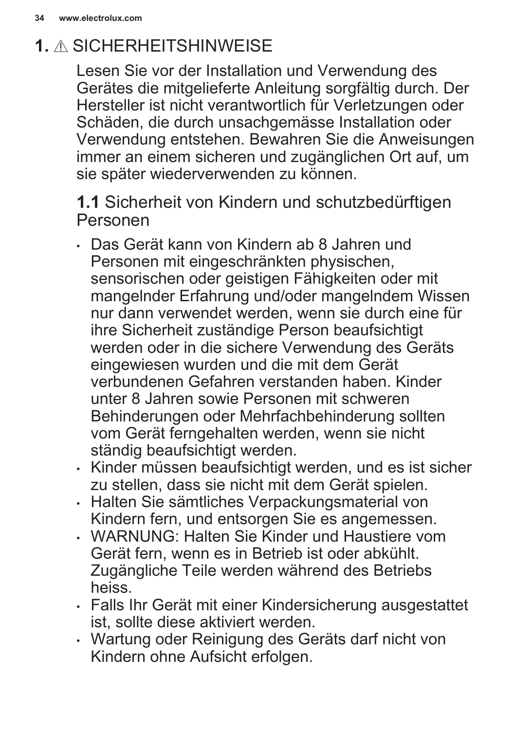### <span id="page-33-0"></span>**1.** SICHERHEITSHINWEISE

Lesen Sie vor der Installation und Verwendung des Gerätes die mitgelieferte Anleitung sorgfältig durch. Der Hersteller ist nicht verantwortlich für Verletzungen oder Schäden, die durch unsachgemässe Installation oder Verwendung entstehen. Bewahren Sie die Anweisungen immer an einem sicheren und zugänglichen Ort auf, um sie später wiederverwenden zu können.

**1.1** Sicherheit von Kindern und schutzbedürftigen Personen

- Das Gerät kann von Kindern ab 8 Jahren und Personen mit eingeschränkten physischen, sensorischen oder geistigen Fähigkeiten oder mit mangelnder Erfahrung und/oder mangelndem Wissen nur dann verwendet werden, wenn sie durch eine für ihre Sicherheit zuständige Person beaufsichtigt werden oder in die sichere Verwendung des Geräts eingewiesen wurden und die mit dem Gerät verbundenen Gefahren verstanden haben. Kinder unter 8 Jahren sowie Personen mit schweren Behinderungen oder Mehrfachbehinderung sollten vom Gerät ferngehalten werden, wenn sie nicht ständig beaufsichtigt werden.
- Kinder müssen beaufsichtigt werden, und es ist sicher zu stellen, dass sie nicht mit dem Gerät spielen.
- Halten Sie sämtliches Verpackungsmaterial von Kindern fern, und entsorgen Sie es angemessen.
- WARNUNG: Halten Sie Kinder und Haustiere vom Gerät fern, wenn es in Betrieb ist oder abkühlt. Zugängliche Teile werden während des Betriebs heiss.
- Falls Ihr Gerät mit einer Kindersicherung ausgestattet ist, sollte diese aktiviert werden.
- Wartung oder Reinigung des Geräts darf nicht von Kindern ohne Aufsicht erfolgen.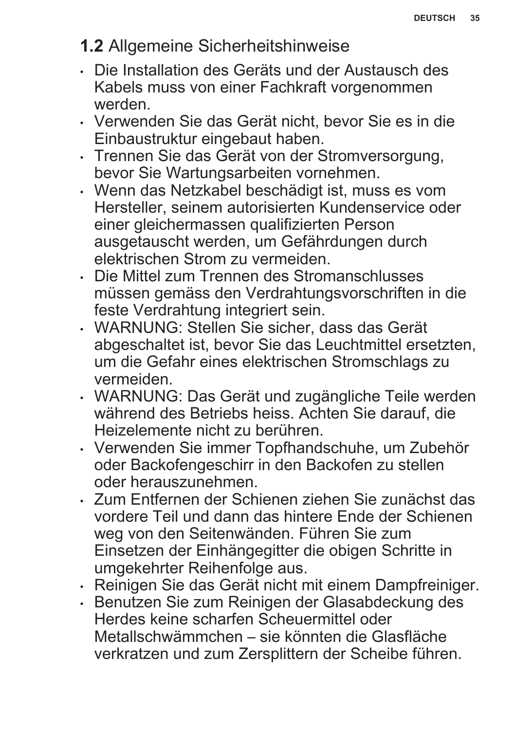### **1.2** Allgemeine Sicherheitshinweise

- Die Installation des Geräts und der Austausch des Kabels muss von einer Fachkraft vorgenommen werden.
- Verwenden Sie das Gerät nicht, bevor Sie es in die Einbaustruktur eingebaut haben.
- Trennen Sie das Gerät von der Stromversorgung, bevor Sie Wartungsarbeiten vornehmen.
- Wenn das Netzkabel beschädigt ist, muss es vom Hersteller, seinem autorisierten Kundenservice oder einer gleichermassen qualifizierten Person ausgetauscht werden, um Gefährdungen durch elektrischen Strom zu vermeiden.
- Die Mittel zum Trennen des Stromanschlusses müssen gemäss den Verdrahtungsvorschriften in die feste Verdrahtung integriert sein.
- WARNUNG: Stellen Sie sicher, dass das Gerät abgeschaltet ist, bevor Sie das Leuchtmittel ersetzten, um die Gefahr eines elektrischen Stromschlags zu vermeiden.
- WARNUNG: Das Gerät und zugängliche Teile werden während des Betriebs heiss. Achten Sie darauf, die Heizelemente nicht zu berühren.
- Verwenden Sie immer Topfhandschuhe, um Zubehör oder Backofengeschirr in den Backofen zu stellen oder herauszunehmen.
- Zum Entfernen der Schienen ziehen Sie zunächst das vordere Teil und dann das hintere Ende der Schienen weg von den Seitenwänden. Führen Sie zum Einsetzen der Einhängegitter die obigen Schritte in umgekehrter Reihenfolge aus.
- Reinigen Sie das Gerät nicht mit einem Dampfreiniger.
- Benutzen Sie zum Reinigen der Glasabdeckung des Herdes keine scharfen Scheuermittel oder Metallschwämmchen – sie könnten die Glasfläche verkratzen und zum Zersplittern der Scheibe führen.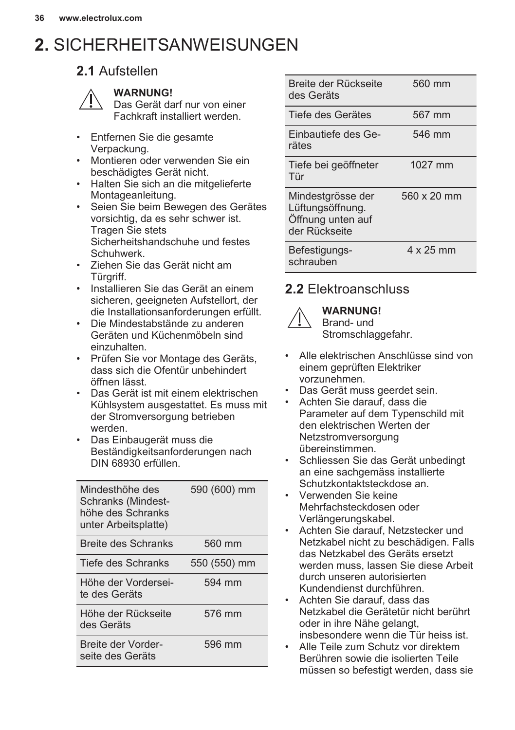## <span id="page-35-0"></span>**2.** SICHERHEITSANWEISUNGEN

### **2.1** Aufstellen



#### **WARNUNG!**

Das Gerät darf nur von einer Fachkraft installiert werden.

- Entfernen Sie die gesamte Verpackung.
- Montieren oder verwenden Sie ein beschädigtes Gerät nicht.
- Halten Sie sich an die mitgelieferte Montageanleitung.
- Seien Sie beim Bewegen des Gerätes vorsichtig, da es sehr schwer ist. Tragen Sie stets Sicherheitshandschuhe und festes Schuhwerk.
- Ziehen Sie das Gerät nicht am Türgriff.
- Installieren Sie das Gerät an einem sicheren, geeigneten Aufstellort, der die Installationsanforderungen erfüllt.
- Die Mindestabstände zu anderen Geräten und Küchenmöbeln sind einzuhalten.
- Prüfen Sie vor Montage des Geräts, dass sich die Ofentür unbehindert öffnen lässt.
- Das Gerät ist mit einem elektrischen Kühlsystem ausgestattet. Es muss mit der Stromversorgung betrieben werden.
- Das Einbaugerät muss die Beständigkeitsanforderungen nach DIN 68930 erfüllen.

| Mindesthöhe des<br>Schranks (Mindest-<br>höhe des Schranks<br>unter Arbeitsplatte) | 590 (600) mm |
|------------------------------------------------------------------------------------|--------------|
| Breite des Schranks                                                                | 560 mm       |
| Tiefe des Schranks                                                                 | 550 (550) mm |
| Höhe der Vordersei-<br>te des Geräts                                               | 594 mm       |
| Höhe der Rückseite<br>des Geräts                                                   | 576 mm       |
| Breite der Vorder-<br>seite des Geräts                                             | 596 mm       |

| Breite der Rückseite<br>des Geräts                                          | 560 mm             |
|-----------------------------------------------------------------------------|--------------------|
| Tiefe des Gerätes                                                           | 567 mm             |
| Einbautiefe des Ge-<br>rätes                                                | 546 mm             |
| Tiefe bei geöffneter<br>Tür                                                 | 1027 mm            |
| Mindestgrösse der<br>Lüftungsöffnung.<br>Öffnung unten auf<br>der Rückseite | $560 \times 20$ mm |
| Befestigungs-<br>schrauben                                                  | 4 x 25 mm          |

### **2.2** Elektroanschluss



**WARNUNG!**

Brand- und Stromschlaggefahr.

- Alle elektrischen Anschlüsse sind von einem geprüften Elektriker vorzunehmen.
- Das Gerät muss geerdet sein.
- Achten Sie darauf, dass die Parameter auf dem Typenschild mit den elektrischen Werten der **Netzstromversorgung** übereinstimmen.
- Schliessen Sie das Gerät unbedingt an eine sachgemäss installierte Schutzkontaktsteckdose an.
- Verwenden Sie keine Mehrfachsteckdosen oder Verlängerungskabel.
- Achten Sie darauf, Netzstecker und Netzkabel nicht zu beschädigen. Falls das Netzkabel des Geräts ersetzt werden muss, lassen Sie diese Arbeit durch unseren autorisierten Kundendienst durchführen.
- Achten Sie darauf, dass das Netzkabel die Gerätetür nicht berührt oder in ihre Nähe gelangt, insbesondere wenn die Tür heiss ist.
- Alle Teile zum Schutz vor direktem Berühren sowie die isolierten Teile müssen so befestigt werden, dass sie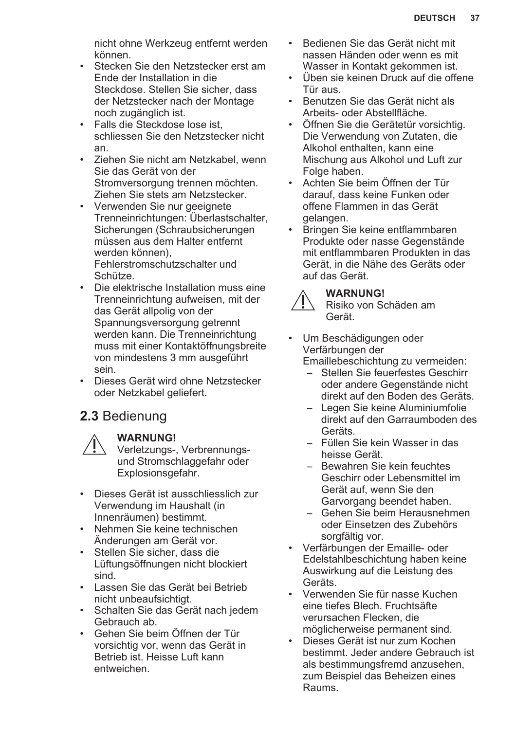nicht ohne Werkzeug entfernt werden können.

- Stecken Sie den Netzstecker erst am Ende der Installation in die Steckdose. Stellen Sie sicher, dass der Netzstecker nach der Montage noch zugänglich ist.
- Falls die Steckdose lose ist, schliessen Sie den Netzstecker nicht an.
- Ziehen Sie nicht am Netzkabel, wenn Sie das Gerät von der Stromversorgung trennen möchten. Ziehen Sie stets am Netzstecker.
- Verwenden Sie nur geeignete Trenneinrichtungen: Überlastschalter, Sicherungen (Schraubsicherungen müssen aus dem Halter entfernt werden können), Fehlerstromschutzschalter und Schütze.
- Die elektrische Installation muss eine Trenneinrichtung aufweisen, mit der das Gerät allpolig von der Spannungsversorgung getrennt werden kann. Die Trenneinrichtung muss mit einer Kontaktöffnungsbreite von mindestens 3 mm ausgeführt sein.
- Dieses Gerät wird ohne Netzstecker oder Netzkabel geliefert.

### **2.3** Bedienung



#### **WARNUNG!**

Verletzungs-, Verbrennungsund Stromschlaggefahr oder Explosionsgefahr.

- Dieses Gerät ist ausschliesslich zur Verwendung im Haushalt (in Innenräumen) bestimmt.
- Nehmen Sie keine technischen Änderungen am Gerät vor.
- Stellen Sie sicher, dass die Lüftungsöffnungen nicht blockiert sind.
- Lassen Sie das Gerät bei Betrieb nicht unbeaufsichtigt.
- Schalten Sie das Gerät nach jedem Gebrauch ab.
- Gehen Sie beim Öffnen der Tür vorsichtig vor, wenn das Gerät in Betrieb ist. Heisse Luft kann entweichen.
- Bedienen Sie das Gerät nicht mit nassen Händen oder wenn es mit Wasser in Kontakt gekommen ist.
- Üben sie keinen Druck auf die offene Tür aus.
- Benutzen Sie das Gerät nicht als Arbeits- oder Abstellfläche.
- Öffnen Sie die Gerätetür vorsichtig. Die Verwendung von Zutaten, die Alkohol enthalten, kann eine Mischung aus Alkohol und Luft zur Folge haben.
- Achten Sie beim Öffnen der Tür darauf, dass keine Funken oder offene Flammen in das Gerät gelangen.
- Bringen Sie keine entflammbaren Produkte oder nasse Gegenstände mit entflammbaren Produkten in das Gerät, in die Nähe des Geräts oder auf das Gerät.

#### **WARNUNG!**

Risiko von Schäden am Gerät.

• Um Beschädigungen oder Verfärbungen der

Emaillebeschichtung zu vermeiden:

- Stellen Sie feuerfestes Geschirr oder andere Gegenstände nicht direkt auf den Boden des Geräts.
- Legen Sie keine Aluminiumfolie direkt auf den Garraumboden des Geräts.
- Füllen Sie kein Wasser in das heisse Gerät.
- Bewahren Sie kein feuchtes Geschirr oder Lebensmittel im Gerät auf, wenn Sie den Garvorgang beendet haben.
- Gehen Sie beim Herausnehmen oder Einsetzen des Zubehörs sorgfältig vor.
- Verfärbungen der Emaille- oder Edelstahlbeschichtung haben keine Auswirkung auf die Leistung des Geräts.
- Verwenden Sie für nasse Kuchen eine tiefes Blech. Fruchtsäfte verursachen Flecken, die möglicherweise permanent sind.
- Dieses Gerät ist nur zum Kochen bestimmt. Jeder andere Gebrauch ist als bestimmungsfremd anzusehen, zum Beispiel das Beheizen eines Raums.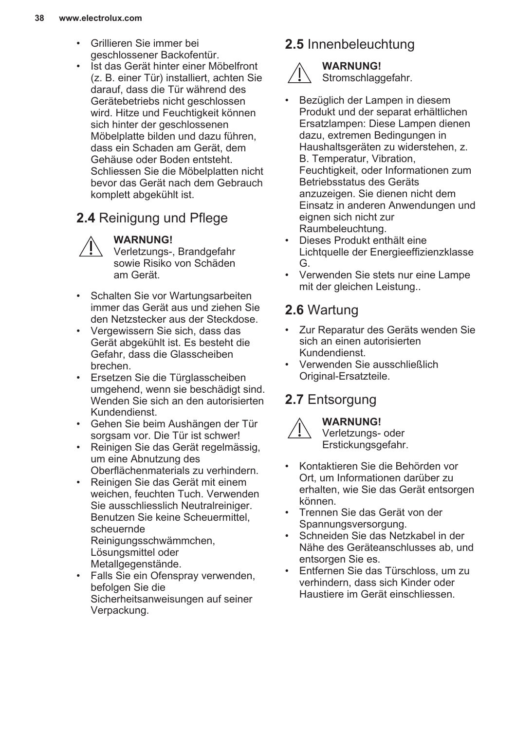- Grillieren Sie immer bei geschlossener Backofentür.
- Ist das Gerät hinter einer Möbelfront (z. B. einer Tür) installiert, achten Sie darauf, dass die Tür während des Gerätebetriebs nicht geschlossen wird. Hitze und Feuchtigkeit können sich hinter der geschlossenen Möbelplatte bilden und dazu führen, dass ein Schaden am Gerät, dem Gehäuse oder Boden entsteht. Schliessen Sie die Möbelplatten nicht bevor das Gerät nach dem Gebrauch komplett abgekühlt ist.

### **2.4** Reinigung und Pflege

**WARNUNG!**

Verletzungs-, Brandgefahr sowie Risiko von Schäden am Gerät.

- Schalten Sie vor Wartungsarbeiten immer das Gerät aus und ziehen Sie den Netzstecker aus der Steckdose.
- Vergewissern Sie sich, dass das Gerät abgekühlt ist. Es besteht die Gefahr, dass die Glasscheiben brechen.
- Ersetzen Sie die Türglasscheiben umgehend, wenn sie beschädigt sind. Wenden Sie sich an den autorisierten Kundendienst.
- Gehen Sie beim Aushängen der Tür sorgsam vor. Die Tür ist schwer!
- Reinigen Sie das Gerät regelmässig, um eine Abnutzung des Oberflächenmaterials zu verhindern.
- Reinigen Sie das Gerät mit einem weichen, feuchten Tuch. Verwenden Sie ausschliesslich Neutralreiniger. Benutzen Sie keine Scheuermittel. scheuernde Reinigungsschwämmchen, Lösungsmittel oder
	- Metallgegenstände.
- Falls Sie ein Ofenspray verwenden, befolgen Sie die Sicherheitsanweisungen auf seiner Verpackung.

### **2.5** Innenbeleuchtung

#### **WARNUNG!** Stromschlaggefahr.

- Bezüglich der Lampen in diesem Produkt und der separat erhältlichen Ersatzlampen: Diese Lampen dienen dazu, extremen Bedingungen in Haushaltsgeräten zu widerstehen, z. B. Temperatur, Vibration, Feuchtigkeit, oder Informationen zum Betriebsstatus des Geräts anzuzeigen. Sie dienen nicht dem Einsatz in anderen Anwendungen und eignen sich nicht zur Raumbeleuchtung.
- Dieses Produkt enthält eine Lichtquelle der Energieeffizienzklasse G.
- Verwenden Sie stets nur eine Lampe mit der gleichen Leistung..

### **2.6** Wartung

- Zur Reparatur des Geräts wenden Sie sich an einen autorisierten Kundendienst.
- Verwenden Sie ausschließlich Original-Ersatzteile.

### **2.7** Entsorgung



**WARNUNG!** Verletzungs- oder

- Erstickungsgefahr.
- Kontaktieren Sie die Behörden vor Ort, um Informationen darüber zu erhalten, wie Sie das Gerät entsorgen können.
- Trennen Sie das Gerät von der Spannungsversorgung.
- Schneiden Sie das Netzkabel in der Nähe des Geräteanschlusses ab, und entsorgen Sie es.
- Entfernen Sie das Türschloss, um zu verhindern, dass sich Kinder oder Haustiere im Gerät einschliessen.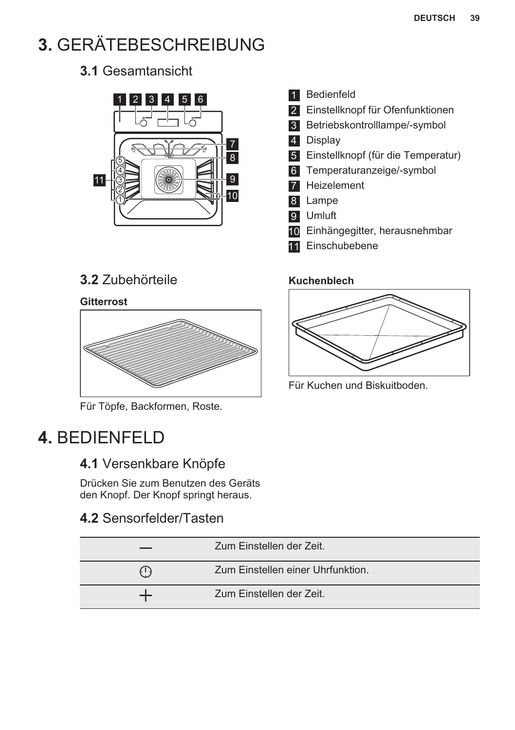## <span id="page-38-0"></span>**3.** GERÄTEBESCHREIBUNG

### **3.1** Gesamtansicht



**3.2** Zubehörteile

#### **Gitterrost**



Für Töpfe, Backformen, Roste.

### **4.** BEDIENFELD

### **4.1** Versenkbare Knöpfe

Drücken Sie zum Benutzen des Geräts den Knopf. Der Knopf springt heraus.

### **4.2** Sensorfelder/Tasten

|       | Zum Einstellen der Zeit.          |
|-------|-----------------------------------|
| ( 1 ) | Zum Einstellen einer Uhrfunktion. |
|       | Zum Einstellen der Zeit.          |

#### 1 Bedienfeld

- 2 Einstellknopf für Ofenfunktionen
- 3 Betriebskontrolllampe/-symbol
- 4 Display
- 5 Einstellknopf (für die Temperatur)
- 6 Temperaturanzeige/-symbol
- 7 Heizelement
- 8 Lampe
- 9 Umluft
- 10 Einhängegitter, herausnehmbar
- 11 Einschubebene

#### **Kuchenblech**



Für Kuchen und Biskuitboden.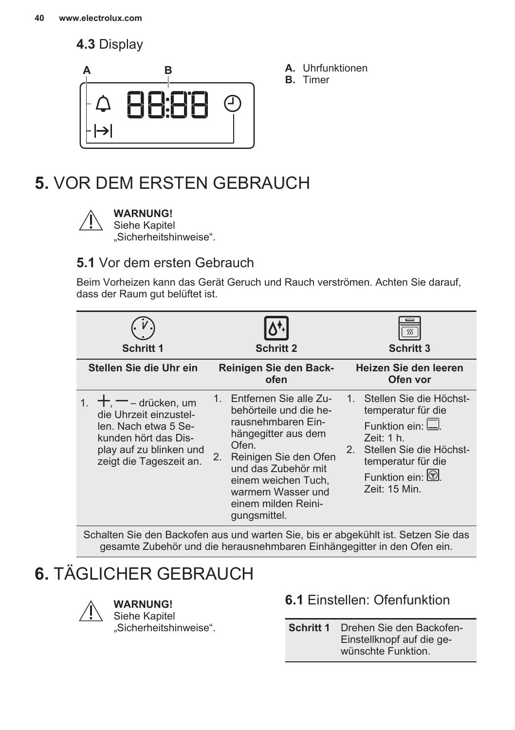<span id="page-39-0"></span>**4.3** Display



- **A.** Uhrfunktionen
- **B.** Timer

### **5.** VOR DEM ERSTEN GEBRAUCH



### **WARNUNG!**

Siehe Kapitel

"Sicherheitshinweise".

### **5.1** Vor dem ersten Gebrauch

Beim Vorheizen kann das Gerät Geruch und Rauch verströmen. Achten Sie darauf, dass der Raum gut belüftet ist.

| Schritt 1                                                                                                                                               | <b>Schritt 2</b>                                                                                                                                                                                                                                               | SSS<br><b>Schritt 3</b>                                                                                                                                                             |
|---------------------------------------------------------------------------------------------------------------------------------------------------------|----------------------------------------------------------------------------------------------------------------------------------------------------------------------------------------------------------------------------------------------------------------|-------------------------------------------------------------------------------------------------------------------------------------------------------------------------------------|
| Stellen Sie die Uhr ein                                                                                                                                 | Reinigen Sie den Back-<br>ofen                                                                                                                                                                                                                                 | Heizen Sie den leeren<br>Ofen vor                                                                                                                                                   |
| $+$ , $-$ – drücken, um<br>die Uhrzeit einzustel-<br>len. Nach etwa 5 Se-<br>kunden hört das Dis-<br>play auf zu blinken und<br>zeigt die Tageszeit an. | 1. Entfernen Sie alle Zu-<br>behörteile und die he-<br>rausnehmbaren Ein-<br>hängegitter aus dem<br>Ofen.<br>Reinigen Sie den Ofen<br>2 <sub>1</sub><br>und das Zubehör mit<br>einem weichen Tuch,<br>warmem Wasser und<br>einem milden Reini-<br>gungsmittel. | 1. Stellen Sie die Höchst-<br>temperatur für die<br>Funktion ein: $\Box$<br>Zeit: 1 h.<br>Stellen Sie die Höchst-<br>2.<br>temperatur für die<br>Funktion ein: (2)<br>Zeit: 15 Min. |

Schalten Sie den Backofen aus und warten Sie, bis er abgekühlt ist. Setzen Sie das gesamte Zubehör und die herausnehmbaren Einhängegitter in den Ofen ein.

### **6.** TÄGLICHER GEBRAUCH



**WARNUNG!**

Siehe Kapitel "Sicherheitshinweise".

### **6.1** Einstellen: Ofenfunktion

**Schritt 1** Drehen Sie den Backofen-Einstellknopf auf die ge‐ wünschte Funktion.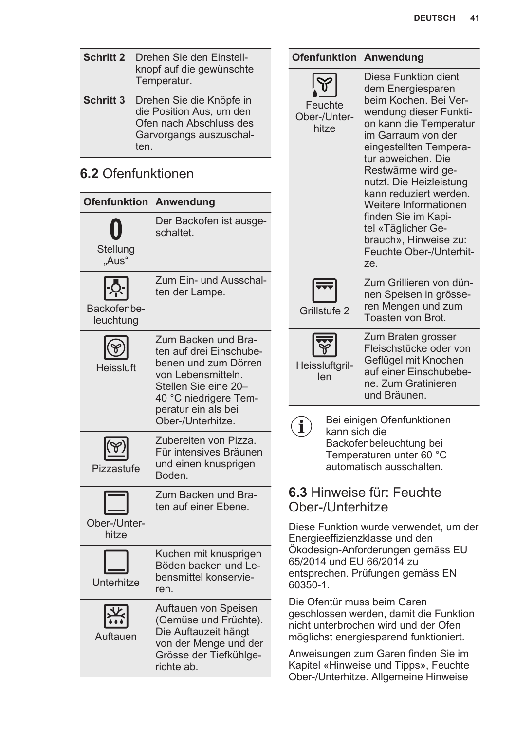| <b>Schritt 2</b><br>Drehen Sie den Einstell-<br>knopf auf die gewünschte |                                                                                                                                                                      |  | <b>Ofenfunktion Anwendung</b>         |                                                                                                                                       |
|--------------------------------------------------------------------------|----------------------------------------------------------------------------------------------------------------------------------------------------------------------|--|---------------------------------------|---------------------------------------------------------------------------------------------------------------------------------------|
|                                                                          | Temperatur.                                                                                                                                                          |  |                                       | Diese Funktion dient<br>dem Energiesparen                                                                                             |
| <b>Schritt 3</b>                                                         | Drehen Sie die Knöpfe in<br>die Position Aus, um den<br>Ofen nach Abschluss des<br>Garvorgangs auszuschal-<br>ten.                                                   |  | Feuchte<br>Ober-/Unter-<br>hitze      | beim Kochen. Bei Ver-<br>wendung dieser Funkti-<br>on kann die Temperatur<br>im Garraum von der<br>eingestellten Tempera-             |
| 6.2 Ofenfunktionen                                                       |                                                                                                                                                                      |  |                                       | tur abweichen. Die<br>Restwärme wird ge-<br>nutzt. Die Heizleistung                                                                   |
|                                                                          | <b>Ofenfunktion Anwendung</b>                                                                                                                                        |  |                                       | kann reduziert werden.<br>Weitere Informationen                                                                                       |
| Stellung<br>"Aus"                                                        | Der Backofen ist ausge-<br>schaltet.                                                                                                                                 |  |                                       | finden Sie im Kapi-<br>tel «Täglicher Ge-<br>brauch». Hinweise zu:<br>Feuchte Ober-/Unterhit-<br>ze.                                  |
| Backofenbe-<br>leuchtung                                                 | Zum Ein- und Ausschal-<br>ten der Lampe.                                                                                                                             |  | Grillstufe 2                          | Zum Grillieren von dün-<br>nen Speisen in grösse-<br>ren Mengen und zum<br>Toasten von Brot.                                          |
| Heissluft                                                                | Zum Backen und Bra-<br>ten auf drei Einschube-<br>benen und zum Dörren<br>von Lebensmitteln.<br>Stellen Sie eine 20-<br>40 °C niedrigere Tem-<br>peratur ein als bei |  | Heissluftgril-<br>len                 | Zum Braten grosser<br>Fleischstücke oder von<br>Geflügel mit Knochen<br>auf einer Einschubebe-<br>ne. Zum Gratinieren<br>und Bräunen. |
|                                                                          | Ober-/Unterhitze.                                                                                                                                                    |  | $\mathbf i$<br>kann sich die          | Bei einigen Ofenfunktionen                                                                                                            |
| Pizzastufe                                                               | Zubereiten von Pizza.<br>Für intensives Bräunen<br>und einen knusprigen<br>Boden.                                                                                    |  |                                       | Backofenbeleuchtung bei<br>Temperaturen unter 60 °C<br>automatisch ausschalten.                                                       |
|                                                                          | Zum Backen und Bra-<br>ten auf einer Ebene.                                                                                                                          |  | Ober-/Unterhitze                      | <b>6.3 Hinweise für: Feuchte</b>                                                                                                      |
| Ober-/Unter-<br>hitze                                                    |                                                                                                                                                                      |  |                                       | Diese Funktion wurde verwendet, um der<br>Energieeffizienzklasse und den                                                              |
| Unterhitze                                                               | Kuchen mit knusprigen<br>Böden backen und Le-<br>bensmittel konservie-<br>ren.                                                                                       |  | 65/2014 und EU 66/2014 zu<br>60350-1. | Ökodesign-Anforderungen gemäss EU<br>entsprechen. Prüfungen gemäss EN                                                                 |
| Auftauen                                                                 | Auftauen von Speisen<br>(Gemüse und Früchte).<br>Die Auftauzeit hängt<br>von der Menge und der                                                                       |  | Die Ofentür muss beim Garen           | geschlossen werden, damit die Funktion<br>nicht unterbrochen wird und der Ofen<br>möglichst energiesparend funktioniert.              |
|                                                                          | Grösse der Tiefkühlge-<br>richte ab.                                                                                                                                 |  |                                       | Anweisungen zum Garen finden Sie im<br>Kapitel «Hinweise und Tipps», Feuchte                                                          |

Ober-/Unterhitze. Allgemeine Hinweise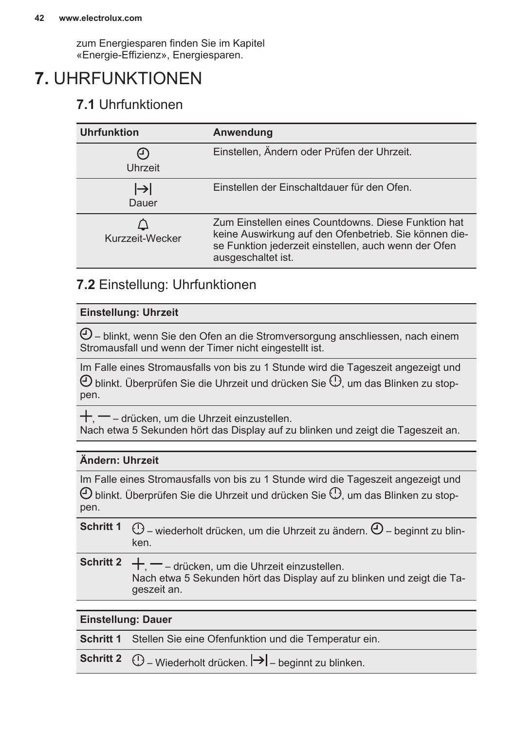zum Energiesparen finden Sie im Kapitel «Energie-Effizienz», Energiesparen.

### <span id="page-41-0"></span>**7.** UHRFUNKTIONEN

### **7.1** Uhrfunktionen

| <b>Uhrfunktion</b> | Anwendung                                                                                                                                                                                  |
|--------------------|--------------------------------------------------------------------------------------------------------------------------------------------------------------------------------------------|
| (ገ)<br>Uhrzeit     | Einstellen, Ändern oder Prüfen der Uhrzeit.                                                                                                                                                |
| $\mapsto$<br>Dauer | Einstellen der Einschaltdauer für den Ofen.                                                                                                                                                |
| Kurzzeit-Wecker    | Zum Einstellen eines Countdowns. Diese Funktion hat<br>keine Auswirkung auf den Ofenbetrieb. Sie können die-<br>se Funktion jederzeit einstellen, auch wenn der Ofen<br>ausgeschaltet ist. |

### **7.2** Einstellung: Uhrfunktionen

#### **Einstellung: Uhrzeit**

 $\Theta$ – blinkt, wenn Sie den Ofen an die Stromversorgung anschliessen, nach einem Stromausfall und wenn der Timer nicht eingestellt ist.

Im Falle eines Stromausfalls von bis zu 1 Stunde wird die Tageszeit angezeigt und  $\Theta$  blinkt. Überprüfen Sie die Uhrzeit und drücken Sie  $\mathbb O$ , um das Blinken zu stoppen.

 $\pm$   $-$  – drücken, um die Uhrzeit einzustellen. Nach etwa 5 Sekunden hört das Display auf zu blinken und zeigt die Tageszeit an.

#### **Ändern: Uhrzeit**

Im Falle eines Stromausfalls von bis zu 1 Stunde wird die Tageszeit angezeigt und  $\Theta$  blinkt. Überprüfen Sie die Uhrzeit und drücken Sie  $\mathbb O$ , um das Blinken zu stoppen.

**Schritt 1**  $\circled{0}$  – wiederholt drücken, um die Uhrzeit zu ändern.  $\circled{0}$  – beginnt zu blinken.

**Schritt 2**  $+$ ,  $-$  – drücken, um die Uhrzeit einzustellen. Nach etwa 5 Sekunden hört das Display auf zu blinken und zeigt die Ta‐ geszeit an.

#### **Einstellung: Dauer**

**Schritt 1** Stellen Sie eine Ofenfunktion und die Temperatur ein.

**Schritt 2**  $\bigoplus$  – Wiederholt drücken.  $\bigtriangledown$  – beginnt zu blinken.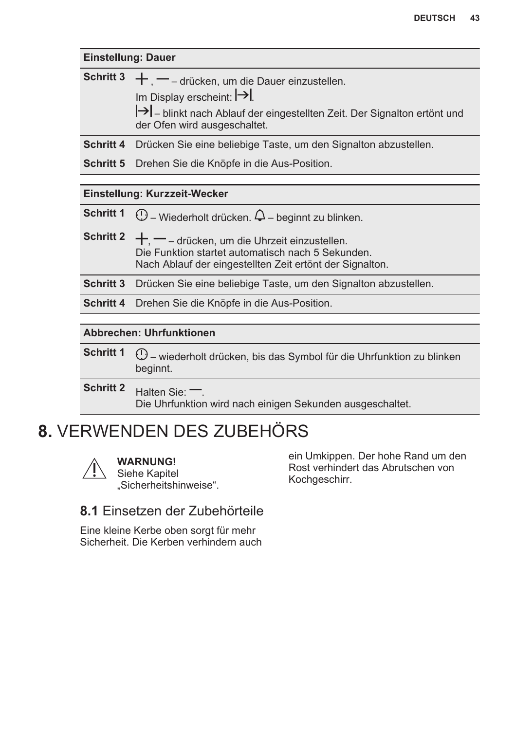<span id="page-42-0"></span>

|                  | <b>Einstellung: Dauer</b>                                                                                                                                                                       |  |  |
|------------------|-------------------------------------------------------------------------------------------------------------------------------------------------------------------------------------------------|--|--|
| <b>Schritt 3</b> | $+$ , $-$ – drücken, um die Dauer einzustellen.<br>Im Display erscheint: $\rightarrow$<br>→ blinkt nach Ablauf der eingestellten Zeit. Der Signalton ertönt und<br>der Ofen wird ausgeschaltet. |  |  |
| <b>Schritt 4</b> | Drücken Sie eine beliebige Taste, um den Signalton abzustellen.                                                                                                                                 |  |  |
| <b>Schritt 5</b> | Drehen Sie die Knöpfe in die Aus-Position.                                                                                                                                                      |  |  |
|                  |                                                                                                                                                                                                 |  |  |
|                  | Einstellung: Kurzzeit-Wecker                                                                                                                                                                    |  |  |
| <b>Schritt 1</b> | $\mathbb O$ – Wiederholt drücken. $\mathsf \Delta$ – beginnt zu blinken.                                                                                                                        |  |  |
| <b>Schritt 2</b> | $+$ , $-$ – drücken, um die Uhrzeit einzustellen.<br>Die Funktion startet automatisch nach 5 Sekunden.<br>Nach Ablauf der eingestellten Zeit ertönt der Signalton.                              |  |  |
| <b>Schritt 3</b> | Drücken Sie eine beliebige Taste, um den Signalton abzustellen.                                                                                                                                 |  |  |
| <b>Schritt 4</b> | Drehen Sie die Knöpfe in die Aus-Position.                                                                                                                                                      |  |  |
|                  | <b>Abbrechen: Uhrfunktionen</b>                                                                                                                                                                 |  |  |
| <b>Schritt 1</b> | U - wiederholt drücken, bis das Symbol für die Uhrfunktion zu blinken<br>beginnt.                                                                                                               |  |  |
| <b>Schritt 2</b> | Halten Sie: $\equiv$<br>Die Uhrfunktion wird nach einigen Sekunden ausgeschaltet.                                                                                                               |  |  |

### **8.** VERWENDEN DES ZUBEHÖRS



**WARNUNG!**

Siehe Kapitel "Sicherheitshinweise". ein Umkippen. Der hohe Rand um den Rost verhindert das Abrutschen von Kochgeschirr.

### **8.1** Einsetzen der Zubehörteile

Eine kleine Kerbe oben sorgt für mehr Sicherheit. Die Kerben verhindern auch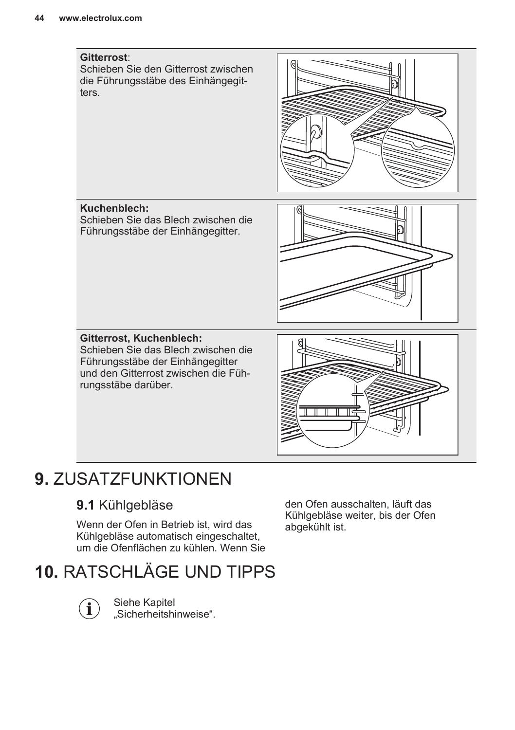<span id="page-43-0"></span>

### **9.** ZUSATZFUNKTIONEN

### **9.1** Kühlgebläse

Wenn der Ofen in Betrieb ist, wird das Kühlgebläse automatisch eingeschaltet, um die Ofenflächen zu kühlen. Wenn Sie den Ofen ausschalten, läuft das Kühlgebläse weiter, bis der Ofen abgekühlt ist.

### **10.** RATSCHLÄGE UND TIPPS



Siehe Kapitel "Sicherheitshinweise".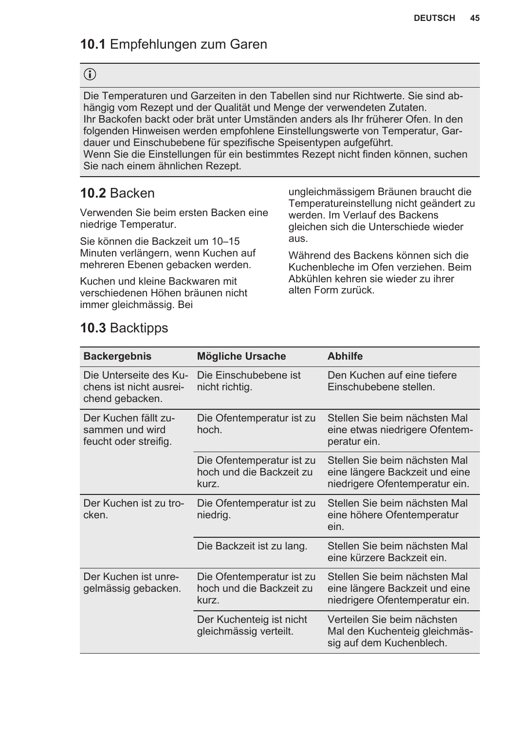### **10.1** Empfehlungen zum Garen

### $\bigodot$

Die Temperaturen und Garzeiten in den Tabellen sind nur Richtwerte. Sie sind ab‐ hängig vom Rezept und der Qualität und Menge der verwendeten Zutaten. Ihr Backofen backt oder brät unter Umständen anders als Ihr früherer Ofen. In den folgenden Hinweisen werden empfohlene Einstellungswerte von Temperatur, Gar‐ dauer und Einschubebene für spezifische Speisentypen aufgeführt. Wenn Sie die Einstellungen für ein bestimmtes Rezept nicht finden können, suchen Sie nach einem ähnlichen Rezept.

### **10.2** Backen

Verwenden Sie beim ersten Backen eine niedrige Temperatur.

Sie können die Backzeit um 10–15 Minuten verlängern, wenn Kuchen auf mehreren Ebenen gebacken werden.

Kuchen und kleine Backwaren mit verschiedenen Höhen bräunen nicht immer gleichmässig. Bei

ungleichmässigem Bräunen braucht die Temperatureinstellung nicht geändert zu werden. Im Verlauf des Backens gleichen sich die Unterschiede wieder aus.

Während des Backens können sich die Kuchenbleche im Ofen verziehen. Beim Abkühlen kehren sie wieder zu ihrer alten Form zurück.

### **10.3** Backtipps

| <b>Backergebnis</b>                                                  | Mögliche Ursache                                               | <b>Abhilfe</b>                                                                                    |
|----------------------------------------------------------------------|----------------------------------------------------------------|---------------------------------------------------------------------------------------------------|
| Die Unterseite des Ku-<br>chens ist nicht ausrei-<br>chend gebacken. | Die Einschubebene ist<br>nicht richtig.                        | Den Kuchen auf eine tiefere<br>Einschubebene stellen.                                             |
| Der Kuchen fällt zu-<br>sammen und wird<br>feucht oder streifig.     | Die Ofentemperatur ist zu<br>hoch.                             | Stellen Sie beim nächsten Mal<br>eine etwas niedrigere Ofentem-<br>peratur ein.                   |
|                                                                      | Die Ofentemperatur ist zu<br>hoch und die Backzeit zu<br>kurz. | Stellen Sie beim nächsten Mal<br>eine längere Backzeit und eine<br>niedrigere Ofentemperatur ein. |
| Der Kuchen ist zu tro-<br>cken.                                      | Die Ofentemperatur ist zu<br>niedrig.                          | Stellen Sie beim nächsten Mal<br>eine höhere Ofentemperatur<br>ein.                               |
|                                                                      | Die Backzeit ist zu lang.                                      | Stellen Sie beim nächsten Mal<br>eine kürzere Backzeit ein.                                       |
| Der Kuchen ist unre-<br>gelmässig gebacken.                          | Die Ofentemperatur ist zu<br>hoch und die Backzeit zu<br>kurz. | Stellen Sie beim nächsten Mal<br>eine längere Backzeit und eine<br>niedrigere Ofentemperatur ein. |
|                                                                      | Der Kuchenteig ist nicht<br>gleichmässig verteilt.             | Verteilen Sie beim nächsten<br>Mal den Kuchenteig gleichmäs-<br>sig auf dem Kuchenblech.          |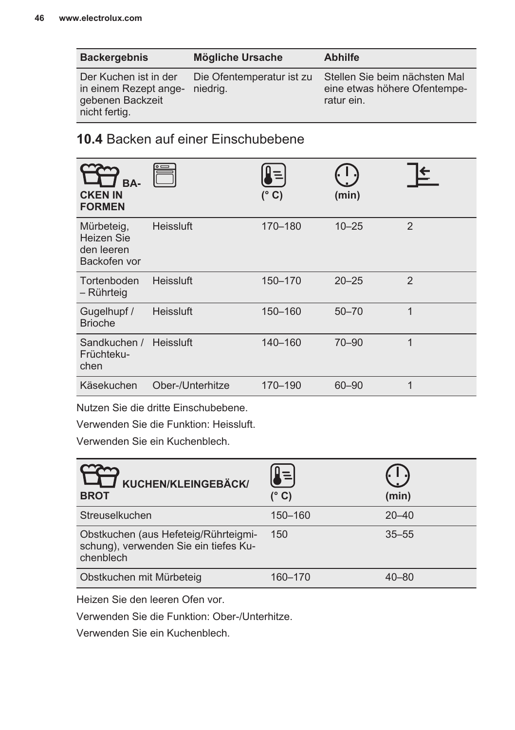| <b>Backergebnis</b>                                                                 | Mögliche Ursache                      | <b>Abhilfe</b>                                                              |
|-------------------------------------------------------------------------------------|---------------------------------------|-----------------------------------------------------------------------------|
| Der Kuchen ist in der<br>in einem Rezept ange-<br>gebenen Backzeit<br>nicht fertig. | Die Ofentemperatur ist zu<br>niedrig. | Stellen Sie beim nächsten Mal<br>eine etwas höhere Ofentempe-<br>ratur ein. |

### **10.4** Backen auf einer Einschubebene

| BA-<br><b>CKEN IN</b><br><b>FORMEN</b>                 |                  | $(^{\circ}C)$ | (min)     |                |
|--------------------------------------------------------|------------------|---------------|-----------|----------------|
| Mürbeteig,<br>Heizen Sie<br>den leeren<br>Backofen vor | Heissluft        | 170-180       | $10 - 25$ | $\mathfrak{p}$ |
| Tortenboden<br>– Rührteig                              | Heissluft        | 150-170       | $20 - 25$ | $\mathfrak{p}$ |
| Gugelhupf /<br><b>Brioche</b>                          | Heissluft        | 150-160       | $50 - 70$ | $\mathbf 1$    |
| Sandkuchen /<br>Früchteku-<br>chen                     | Heissluft        | 140-160       | $70 - 90$ | $\mathbf 1$    |
| Käsekuchen                                             | Ober-/Unterhitze | 170-190       | 60-90     | 1              |

Nutzen Sie die dritte Einschubebene.

Verwenden Sie die Funktion: Heissluft.

Verwenden Sie ein Kuchenblech.

| KUCHEN/KLEINGEBÄCK/<br><b>BROT</b>                                                         | (° C)   | (min)     |
|--------------------------------------------------------------------------------------------|---------|-----------|
| Streuselkuchen                                                                             | 150-160 | $20 - 40$ |
| Obstkuchen (aus Hefeteig/Rührteigmi-<br>schung), verwenden Sie ein tiefes Ku-<br>chenblech | 150     | $35 - 55$ |
| Obstkuchen mit Mürbeteig                                                                   | 160-170 | $40 - 80$ |

Heizen Sie den leeren Ofen vor.

Verwenden Sie die Funktion: Ober-/Unterhitze.

Verwenden Sie ein Kuchenblech.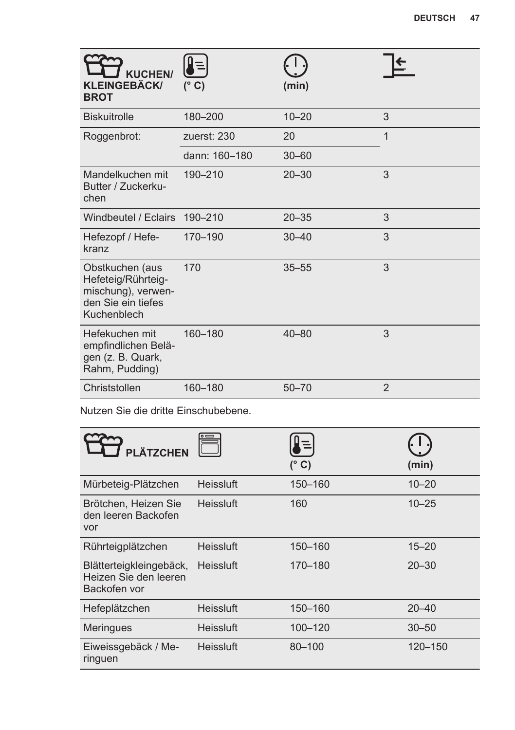| <b>KUCHEN/</b><br><b>KLEINGEBÄCK/</b><br><b>BROT</b>                                             | ∦≡ <br>$(^\circ$ C) | (min)     |                |
|--------------------------------------------------------------------------------------------------|---------------------|-----------|----------------|
| <b>Biskuitrolle</b>                                                                              | 180-200             | $10 - 20$ | 3              |
| Roggenbrot:                                                                                      | zuerst: 230         | 20        | $\overline{1}$ |
|                                                                                                  | dann: 160-180       | $30 - 60$ |                |
| Mandelkuchen mit<br>Butter / Zuckerku-<br>chen                                                   | 190-210             | $20 - 30$ | 3              |
| Windbeutel / Eclairs 190-210                                                                     |                     | $20 - 35$ | 3              |
| Hefezopf / Hefe-<br>kranz                                                                        | 170-190             | $30 - 40$ | 3              |
| Obstkuchen (aus<br>Hefeteig/Rührteig-<br>mischung), verwen-<br>den Sie ein tiefes<br>Kuchenblech | 170                 | $35 - 55$ | 3              |
| Hefekuchen mit<br>empfindlichen Belä-<br>gen (z. B. Quark,<br>Rahm, Pudding)                     | 160-180             | $40 - 80$ | 3              |
| Christstollen                                                                                    | 160-180             | $50 - 70$ | $\mathfrak{p}$ |

Nutzen Sie die dritte Einschubebene.

| PLÄTZCHEN                                                        |                  | $(^{\circ}C)$ | (min)     |
|------------------------------------------------------------------|------------------|---------------|-----------|
| Mürbeteig-Plätzchen                                              | Heissluft        | 150-160       | $10 - 20$ |
| Brötchen, Heizen Sie<br>den leeren Backofen<br>vor               | <b>Heissluft</b> | 160           | $10 - 25$ |
| Rührteigplätzchen                                                | Heissluft        | 150-160       | $15 - 20$ |
| Blätterteigkleingebäck,<br>Heizen Sie den leeren<br>Backofen vor | Heissluft        | 170-180       | $20 - 30$ |
| Hefeplätzchen                                                    | Heissluft        | 150-160       | $20 - 40$ |
| Meringues                                                        | Heissluft        | 100-120       | $30 - 50$ |
| Eiweissgebäck / Me-<br>ringuen                                   | Heissluft        | 80-100        | 120-150   |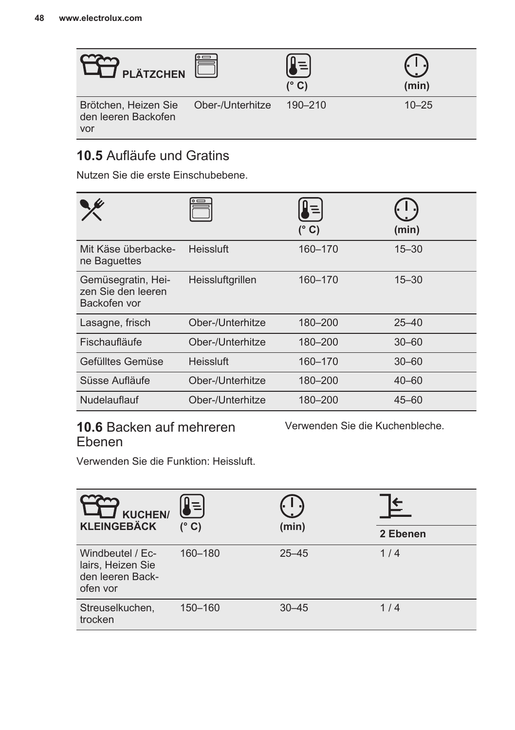

### **10.5** Aufläufe und Gratins

Nutzen Sie die erste Einschubebene.

|                                                          |                  | $\equiv$<br>(° C) | (min)     |
|----------------------------------------------------------|------------------|-------------------|-----------|
| Mit Käse überbacke-<br>ne Baguettes                      | Heissluft        | 160-170           | $15 - 30$ |
| Gemüsegratin, Hei-<br>zen Sie den leeren<br>Backofen vor | Heissluftgrillen | 160-170           | $15 - 30$ |
| Lasagne, frisch                                          | Ober-/Unterhitze | 180-200           | $25 - 40$ |
| Fischaufläufe                                            | Ober-/Unterhitze | 180-200           | $30 - 60$ |
| Gefülltes Gemüse                                         | Heissluft        | 160-170           | $30 - 60$ |
| Süsse Aufläufe                                           | Ober-/Unterhitze | 180-200           | $40 - 60$ |
| Nudelauflauf                                             | Ober-/Unterhitze | 180-200           | $45 - 60$ |

### **10.6** Backen auf mehreren Ebenen

Verwenden Sie die Kuchenbleche.

Verwenden Sie die Funktion: Heissluft.

| <b>KUCHEN/</b><br><b>KLEINGEBÄCK</b>                                  | (° C)   | (min)     |          |
|-----------------------------------------------------------------------|---------|-----------|----------|
|                                                                       |         |           | 2 Ebenen |
| Windbeutel / Ec-<br>lairs, Heizen Sie<br>den leeren Back-<br>ofen vor | 160-180 | $25 - 45$ | 1/4      |
| Streuselkuchen,<br>trocken                                            | 150-160 | $30 - 45$ | 1/4      |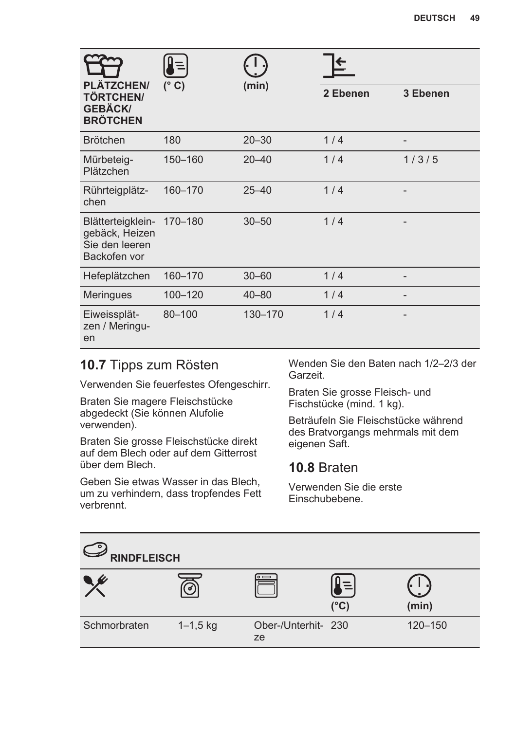| <b>DEUTSCH</b> | 49 |
|----------------|----|
|----------------|----|

| <b>PLÄTZCHEN/</b>                                                     | $\equiv$      |           |          |          |
|-----------------------------------------------------------------------|---------------|-----------|----------|----------|
| <b>TÖRTCHEN/</b><br><b>GEBÄCK/</b><br><b>BRÖTCHEN</b>                 | $(^{\circ}C)$ | (min)     | 2 Ebenen | 3 Ebenen |
| <b>Brötchen</b>                                                       | 180           | $20 - 30$ | 1/4      |          |
| Mürbeteig-<br>Plätzchen                                               | 150-160       | $20 - 40$ | 1/4      | 1/3/5    |
| Rührteigplätz-<br>chen                                                | 160-170       | $25 - 40$ | 1/4      |          |
| Blätterteigklein-<br>gebäck, Heizen<br>Sie den leeren<br>Backofen vor | 170-180       | $30 - 50$ | 1/4      |          |
| Hefeplätzchen                                                         | 160-170       | $30 - 60$ | 1/4      |          |
| <b>Meringues</b>                                                      | 100-120       | $40 - 80$ | 1/4      |          |
| Eiweissplät-<br>zen / Meringu-<br>en                                  | 80-100        | 130-170   | 1/4      |          |

### **10.7** Tipps zum Rösten

Verwenden Sie feuerfestes Ofengeschirr.

Braten Sie magere Fleischstücke abgedeckt (Sie können Alufolie verwenden).

Braten Sie grosse Fleischstücke direkt auf dem Blech oder auf dem Gitterrost über dem Blech.

Geben Sie etwas Wasser in das Blech, um zu verhindern, dass tropfendes Fett verbrennt.

Wenden Sie den Baten nach 1/2–2/3 der Garzeit.

Braten Sie grosse Fleisch- und Fischstücke (mind. 1 kg).

Beträufeln Sie Fleischstücke während des Bratvorgangs mehrmals mit dem eigenen Saft.

### **10.8** Braten

Verwenden Sie die erste Einschubebene.

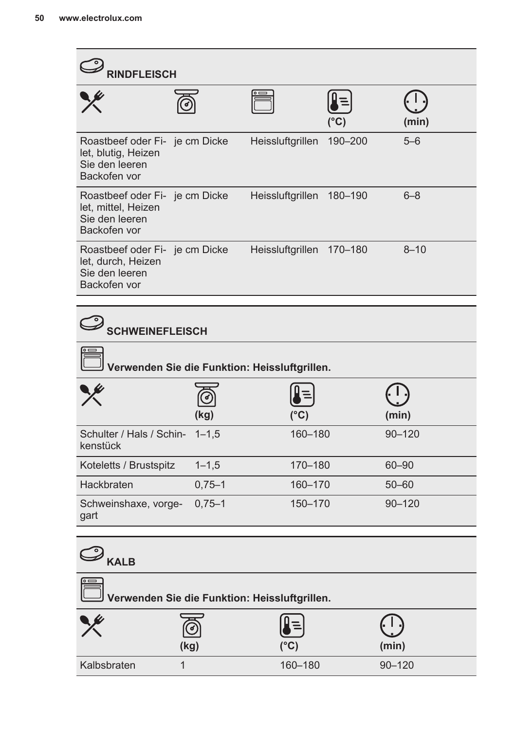| $\mathscr{Y}_{\mathsf{RINDFLEISCH}}$                                                    |            |                                               |         |            |  |
|-----------------------------------------------------------------------------------------|------------|-----------------------------------------------|---------|------------|--|
|                                                                                         |            |                                               | (°C)    | (min)      |  |
| Roastbeef oder Fi- je cm Dicke<br>let, blutig, Heizen<br>Sie den leeren<br>Backofen vor |            | Heissluftgrillen                              | 190-200 | $5 - 6$    |  |
| Roastbeef oder Fi- je cm Dicke<br>let, mittel, Heizen<br>Sie den leeren<br>Backofen vor |            | Heissluftgrillen 180-190                      |         | $6 - 8$    |  |
| Roastbeef oder Fi- je cm Dicke<br>let, durch, Heizen<br>Sie den leeren<br>Backofen vor  |            | Heissluftgrillen 170-180                      |         | $8 - 10$   |  |
|                                                                                         |            |                                               |         |            |  |
| <b>SCHWEINEFLEISCH</b>                                                                  |            |                                               |         |            |  |
|                                                                                         |            | Verwenden Sie die Funktion: Heissluftgrillen. |         |            |  |
|                                                                                         | (kg)       | (°C)                                          |         | (min)      |  |
| Schulter / Hals / Schin-<br>kenstück                                                    | $1 - 1.5$  | 160-180                                       |         | $90 - 120$ |  |
| Koteletts / Brustspitz                                                                  | $1 - 1, 5$ | 170-180                                       |         | 60-90      |  |
| Hackbraten                                                                              | $0,75 - 1$ | 160-170                                       |         | $50 - 60$  |  |
| Schweinshaxe, vorge-<br>gart                                                            | $0,75 - 1$ | 150-170                                       |         | $90 - 120$ |  |
| $\mathcal{O}_{\text{kalg}}$                                                             |            |                                               |         |            |  |
| Verwenden Sie die Funktion: Heissluftgrillen.                                           |            |                                               |         |            |  |
|                                                                                         | (kg)       | (°C)                                          |         | (min)      |  |
| Kalbsbraten                                                                             | 1          | 160-180                                       |         | $90 - 120$ |  |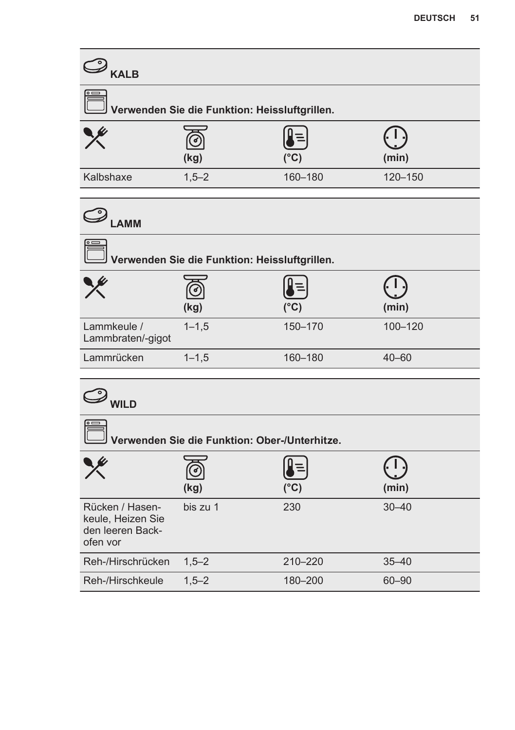| $\mathcal{D}_{\texttt{KALB}}$                                        |                                               |               |           |
|----------------------------------------------------------------------|-----------------------------------------------|---------------|-----------|
|                                                                      | Verwenden Sie die Funktion: Heissluftgrillen. |               |           |
|                                                                      | (kg)                                          | $(^{\circ}C)$ | (min)     |
| Kalbshaxe                                                            | $1,5 - 2$                                     | 160-180       | 120-150   |
| $\mathcal{L}_{\mathsf{LAMM}}$                                        |                                               |               |           |
|                                                                      | Verwenden Sie die Funktion: Heissluftgrillen. |               |           |
|                                                                      | (kg)                                          | $(^{\circ}C)$ | (min)     |
| Lammkeule /<br>Lammbraten/-gigot                                     | $1 - 1, 5$                                    | 150-170       | 100-120   |
| Lammrücken                                                           | $1 - 1.5$                                     | 160-180       | $40 - 60$ |
| $\mathcal{D}_{\mathsf{WILD}}$                                        |                                               |               |           |
|                                                                      | Verwenden Sie die Funktion: Ober-/Unterhitze. |               |           |
|                                                                      | (kg)                                          | $(^{\circ}C)$ | (min)     |
| Rücken / Hasen-<br>keule, Heizen Sie<br>den leeren Back-<br>ofen vor | bis zu 1                                      | 230           | $30 - 40$ |
| Reh-/Hirschrücken                                                    | $1,5 - 2$                                     | 210-220       | $35 - 40$ |
| Reh-/Hirschkeule                                                     | $1,5 - 2$                                     | 180-200       | 60-90     |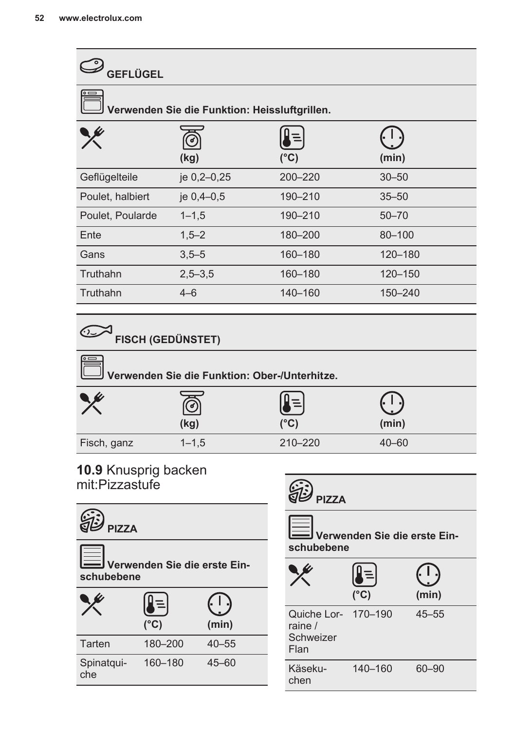| GEFLÜGEL                                      |             |               |            |  |
|-----------------------------------------------|-------------|---------------|------------|--|
| Verwenden Sie die Funktion: Heissluftgrillen. |             |               |            |  |
|                                               | (kg)        | $(^{\circ}C)$ | (min)      |  |
| Geflügelteile                                 | je 0,2-0,25 | 200-220       | $30 - 50$  |  |
| Poulet, halbiert                              | je 0,4-0,5  | 190-210       | $35 - 50$  |  |
| Poulet, Poularde                              | $1 - 1, 5$  | 190-210       | $50 - 70$  |  |
| Ente                                          | $1,5 - 2$   | 180-200       | $80 - 100$ |  |
| Gans                                          | $3,5 - 5$   | 160-180       | 120-180    |  |
| Truthahn                                      | $2,5 - 3,5$ | 160-180       | 120-150    |  |
| Truthahn                                      | $4 - 6$     | 140-160       | 150-240    |  |
|                                               |             |               |            |  |

## **FISCH (GEDÜNSTET)**

| $\circ$ $\Rightarrow$<br>J Verwenden Sie die Funktion: Ober-/Unterhitze. |           |         |           |  |
|--------------------------------------------------------------------------|-----------|---------|-----------|--|
|                                                                          | (kg)      | (°C)    | (min)     |  |
| Fisch, ganz                                                              | $1 - 1.5$ | 210-220 | $40 - 60$ |  |

### **10.9** Knusprig backen mit:Pizzastufe



 **Verwenden Sie die erste Ein‐ schubebene**

|                   | $(^{\circ}C)$ | (min)     |
|-------------------|---------------|-----------|
| Tarten            | 180-200       | $40 - 55$ |
| Spinatqui-<br>che | 160-180       | $45 - 60$ |

| <b>SED</b> PIZZA             |  |
|------------------------------|--|
| Verwenden Sie die erste Ein- |  |

|                                                     | $(^{\circ}C)$ | (min)     |
|-----------------------------------------------------|---------------|-----------|
| Quiche Lor- 170-190<br>raine /<br>Schweizer<br>Flan |               | $45 - 55$ |
| Käseku-<br>chen                                     | 140-160       | 60-90     |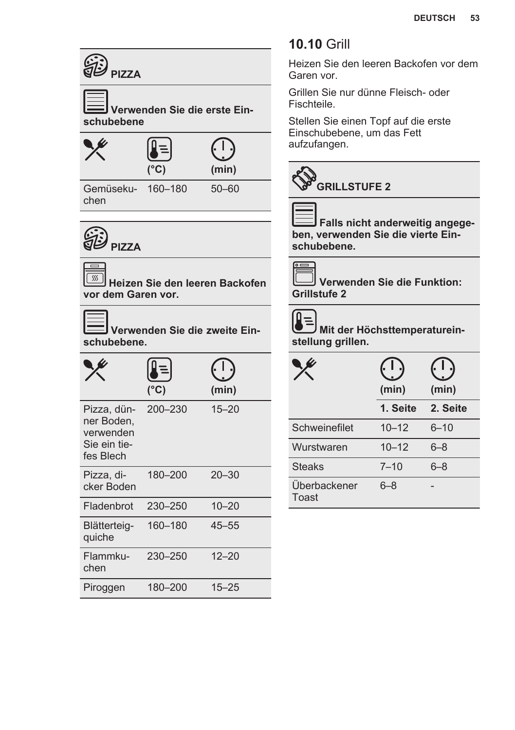

| PIZZA, GUIT-<br>ner Boden,<br>verwenden<br>Sie ein tie-<br>fes Blech | ZUU-ZOU | 10–20     |
|----------------------------------------------------------------------|---------|-----------|
| Pizza, di-<br>cker Boden                                             | 180-200 | $20 - 30$ |
| Fladenbrot                                                           | 230-250 | $10 - 20$ |
| Blätterteig-<br>quiche                                               | 160-180 | $45 - 55$ |
| Flammku-<br>chen                                                     | 230-250 | $12 - 20$ |
| Piroggen                                                             | 180-200 | $15 - 25$ |

### **10.10** Grill

Heizen Sie den leeren Backofen vor dem Garen vor.

Grillen Sie nur dünne Fleisch- oder Fischteile.

Stellen Sie einen Topf auf die erste Einschubebene, um das Fett aufzufangen.



 **Falls nicht anderweitig angege‐ ben, verwenden Sie die vierte Ein‐ schubebene.**

 **Verwenden Sie die Funktion: Grillstufe 2**

### Δ

 **Mit der Höchsttemperaturein‐ stellung grillen.**

|                       | (min)     | (min)    |
|-----------------------|-----------|----------|
|                       | 1. Seite  | 2. Seite |
| Schweinefilet         | $10 - 12$ | $6 - 10$ |
| Wurstwaren            | $10 - 12$ | $6 - 8$  |
| <b>Steaks</b>         | $7 - 10$  | 6–8      |
| Überbackener<br>Toast | $6 - 8$   |          |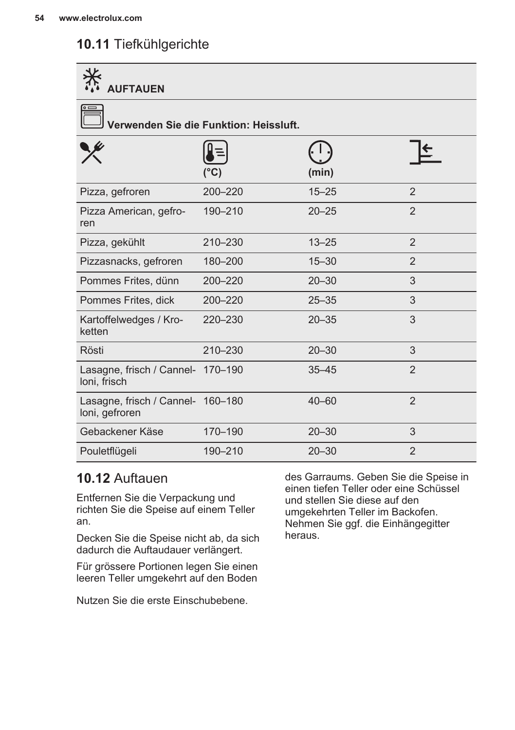### **10.11** Tiefkühlgerichte

| <b>AUFTAUEN</b>                                     |         |           |                |  |  |
|-----------------------------------------------------|---------|-----------|----------------|--|--|
| Verwenden Sie die Funktion: Heissluft.              |         |           |                |  |  |
|                                                     | (°C)    | (min)     |                |  |  |
| Pizza, gefroren                                     | 200-220 | $15 - 25$ | $\mathfrak{p}$ |  |  |
| Pizza American, gefro-<br>ren                       | 190-210 | $20 - 25$ | 2              |  |  |
| Pizza, gekühlt                                      | 210-230 | $13 - 25$ | $\overline{2}$ |  |  |
| Pizzasnacks, gefroren                               | 180-200 | $15 - 30$ | $\overline{2}$ |  |  |
| Pommes Frites, dünn                                 | 200-220 | $20 - 30$ | 3              |  |  |
| Pommes Frites, dick                                 | 200-220 | $25 - 35$ | 3              |  |  |
| Kartoffelwedges / Kro-<br>ketten                    | 220-230 | $20 - 35$ | 3              |  |  |
| Rösti                                               | 210-230 | $20 - 30$ | 3              |  |  |
| Lasagne, frisch / Cannel- 170-190<br>loni, frisch   |         | $35 - 45$ | $\overline{2}$ |  |  |
| Lasagne, frisch / Cannel- 160-180<br>loni, gefroren |         | $40 - 60$ | $\mathfrak{p}$ |  |  |
| Gebackener Käse                                     | 170-190 | $20 - 30$ | 3              |  |  |
| Pouletflügeli                                       | 190-210 | $20 - 30$ | $\overline{2}$ |  |  |

### **10.12** Auftauen

Entfernen Sie die Verpackung und richten Sie die Speise auf einem Teller an.

Decken Sie die Speise nicht ab, da sich dadurch die Auftaudauer verlängert.

Für grössere Portionen legen Sie einen leeren Teller umgekehrt auf den Boden

Nutzen Sie die erste Einschubebene.

des Garraums. Geben Sie die Speise in einen tiefen Teller oder eine Schüssel und stellen Sie diese auf den umgekehrten Teller im Backofen. Nehmen Sie ggf. die Einhängegitter heraus.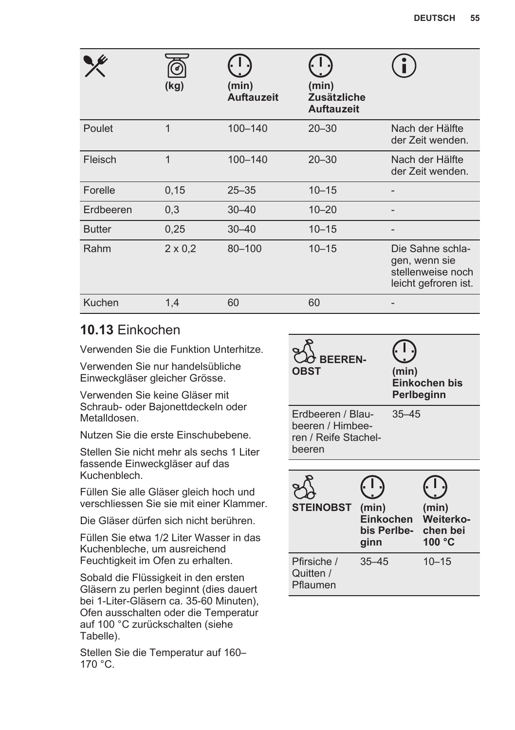|               | ರ<br>(kg)      | (min)<br><b>Auftauzeit</b> | (min)<br><b>Zusätzliche</b><br><b>Auftauzeit</b> |                                                                                |
|---------------|----------------|----------------------------|--------------------------------------------------|--------------------------------------------------------------------------------|
| Poulet        | $\mathbf 1$    | 100-140                    | $20 - 30$                                        | Nach der Hälfte<br>der Zeit wenden.                                            |
| Fleisch       | 1              | 100-140                    | $20 - 30$                                        | Nach der Hälfte<br>der Zeit wenden.                                            |
| Forelle       | 0,15           | $25 - 35$                  | $10 - 15$                                        |                                                                                |
| Erdbeeren     | 0,3            | $30 - 40$                  | $10 - 20$                                        |                                                                                |
| <b>Butter</b> | 0,25           | $30 - 40$                  | $10 - 15$                                        |                                                                                |
| Rahm          | $2 \times 0.2$ | 80-100                     | $10 - 15$                                        | Die Sahne schla-<br>gen, wenn sie<br>stellenweise noch<br>leicht gefroren ist. |
| Kuchen        | 1.4            | 60                         | 60                                               |                                                                                |

### **10.13** Einkochen

Verwenden Sie die Funktion Unterhitze.

Verwenden Sie nur handelsübliche Einweckgläser gleicher Grösse.

Verwenden Sie keine Gläser mit Schraub- oder Bajonettdeckeln oder Metalldosen.

Nutzen Sie die erste Einschubebene.

Stellen Sie nicht mehr als sechs 1 Liter fassende Einweckgläser auf das Kuchenblech.

Füllen Sie alle Gläser gleich hoch und verschliessen Sie sie mit einer Klammer.

Die Gläser dürfen sich nicht berühren.

Füllen Sie etwa 1/2 Liter Wasser in das Kuchenbleche, um ausreichend Feuchtigkeit im Ofen zu erhalten.

Sobald die Flüssigkeit in den ersten Gläsern zu perlen beginnt (dies dauert bei 1-Liter-Gläsern ca. 35-60 Minuten), Ofen ausschalten oder die Temperatur auf 100 °C zurückschalten (siehe Tabelle).

Stellen Sie die Temperatur auf 160– 170 °C.

| <b>BEEREN-</b><br><b>OBST</b>                                           |                            | (min)       | Einkochen bis<br>Perlbeginn                       |
|-------------------------------------------------------------------------|----------------------------|-------------|---------------------------------------------------|
| Erdbeeren / Blau-<br>beeren / Himbee-<br>ren / Reife Stachel-<br>beeren |                            | $35 - 45$   |                                                   |
|                                                                         |                            |             |                                                   |
| <b>STEINOBST</b>                                                        | (min)<br>Einkochen<br>ginn | bis Perlbe- | (min)<br>Weiterko-<br>chen bei<br>100 $\degree$ C |
| Pfirsiche /<br>Quitten /<br>Pflaumen                                    | $35 - 45$                  |             | $10 - 15$                                         |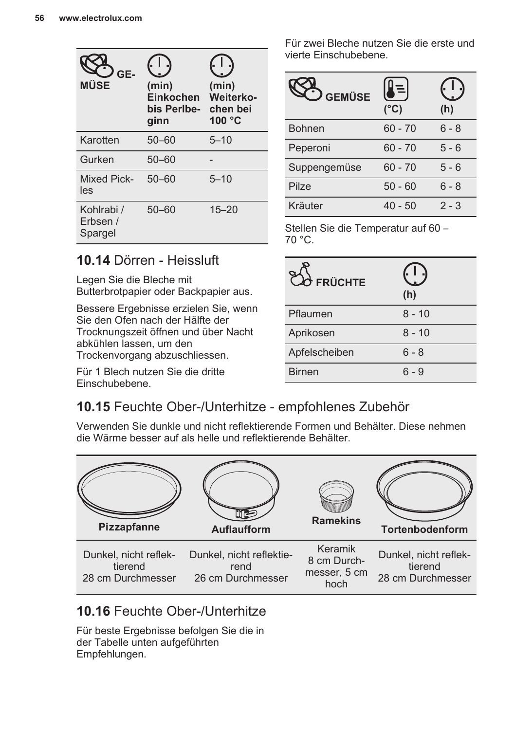| GE-<br>MÜSE                       | (min)<br>Einkochen<br>bis Perlbe-<br>ginn | (min)<br><b>Weiterko-</b><br>chen bei<br>100 $\degree$ C |
|-----------------------------------|-------------------------------------------|----------------------------------------------------------|
| Karotten                          | $50 - 60$                                 | $5 - 10$                                                 |
| Gurken                            | $50 - 60$                                 |                                                          |
| <b>Mixed Pick-</b><br>les         | $50 - 60$                                 | $5 - 10$                                                 |
| Kohlrabi /<br>Erbsen /<br>Spargel | $50 - 60$                                 | $15 - 20$                                                |

Für zwei Bleche nutzen Sie die erste und vierte Einschubebene.

| <b>GEMÜSE</b> | $\equiv$<br>$(^{\circ}C)$ | (h)     |
|---------------|---------------------------|---------|
| <b>Bohnen</b> | $60 - 70$                 | 6 - 8   |
| Peperoni      | $60 - 70$                 | 5 - 6   |
| Suppengemüse  | $60 - 70$                 | 5 - 6   |
| Pilze         | $50 - 60$                 | 6 - 8   |
| Kräuter       | $40 - 50$                 | $2 - 3$ |

Stellen Sie die Temperatur auf 60 – 70 °C.

### **10.14** Dörren - Heissluft

Legen Sie die Bleche mit Butterbrotpapier oder Backpapier aus.

Bessere Ergebnisse erzielen Sie, wenn Sie den Ofen nach der Hälfte der Trocknungszeit öffnen und über Nacht abkühlen lassen, um den Trockenvorgang abzuschliessen.

Für 1 Blech nutzen Sie die dritte Einschubebene.

| $2\sigma$ FRÜCHTE | (h)      |
|-------------------|----------|
| Pflaumen          | $8 - 10$ |
| Aprikosen         | $8 - 10$ |
| Apfelscheiben     | 6 - 8    |
| <b>Birnen</b>     | ճ - 9    |

### **10.15** Feuchte Ober-/Unterhitze - empfohlenes Zubehör

Verwenden Sie dunkle und nicht reflektierende Formen und Behälter. Diese nehmen die Wärme besser auf als helle und reflektierende Behälter.



### **10.16** Feuchte Ober-/Unterhitze

Für beste Ergebnisse befolgen Sie die in der Tabelle unten aufgeführten Empfehlungen.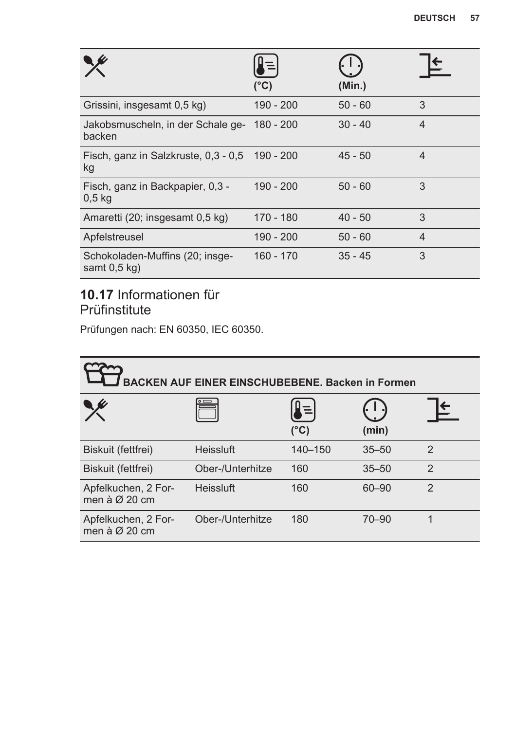|                                                       | $(^{\circ}C)$ | (Min.)    |                |
|-------------------------------------------------------|---------------|-----------|----------------|
| Grissini, insgesamt 0,5 kg)                           | 190 - 200     | $50 - 60$ | 3              |
| Jakobsmuscheln, in der Schale ge-<br>backen           | 180 - 200     | $30 - 40$ | $\overline{4}$ |
| Fisch, ganz in Salzkruste, 0,3 - 0,5 190 - 200<br>kg  |               | $45 - 50$ | $\overline{4}$ |
| Fisch, ganz in Backpapier, 0,3 -<br>0.5 <sub>kg</sub> | $190 - 200$   | $50 - 60$ | 3              |
| Amaretti (20; insgesamt 0,5 kg)                       | 170 - 180     | $40 - 50$ | 3              |
| Apfelstreusel                                         | 190 - 200     | $50 - 60$ | $\overline{4}$ |
| Schokoladen-Muffins (20; insge-<br>samt $0.5$ kg)     | $160 - 170$   | $35 - 45$ | 3              |

### **10.17** Informationen für Prüfinstitute

Prüfungen nach: EN 60350, IEC 60350.

| <b>BACKEN AUF EINER EINSCHUBEBENE, Backen in Formen</b> |                  |                           |           |                |
|---------------------------------------------------------|------------------|---------------------------|-----------|----------------|
|                                                         |                  | $\equiv$<br>$(^{\circ}C)$ | (min)     |                |
| Biskuit (fettfrei)                                      | Heissluft        | 140-150                   | $35 - 50$ | $\mathfrak{p}$ |
| Biskuit (fettfrei)                                      | Ober-/Unterhitze | 160                       | $35 - 50$ | $\mathfrak{p}$ |
| Apfelkuchen, 2 For-<br>men à $\varnothing$ 20 cm        | Heissluft        | 160                       | 60-90     | $\mathfrak{p}$ |
| Apfelkuchen, 2 For-<br>men à $\varnothing$ 20 cm        | Ober-/Unterhitze | 180                       | $70 - 90$ |                |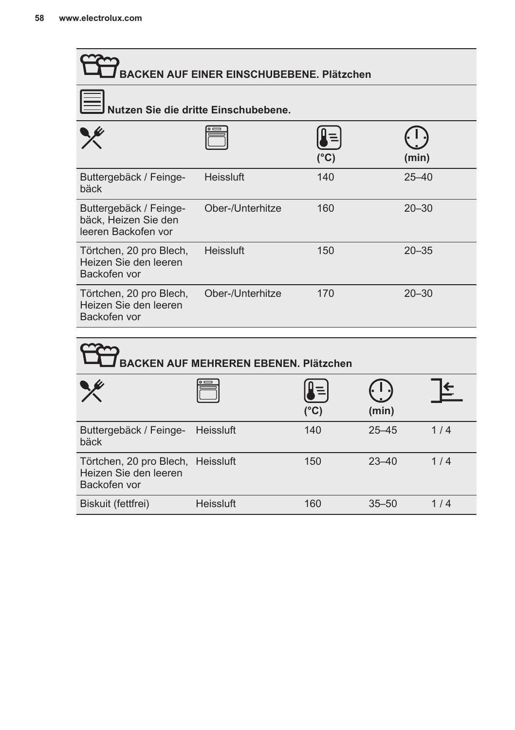| BACKEN AUF EINER EINSCHUBEBENE. Plätzchen |      |           |  |
|-------------------------------------------|------|-----------|--|
| Nutzen Sie die dritte Einschubebene.      |      |           |  |
|                                           | (°C) | (min)     |  |
| Heissluft                                 | 140  | $25 - 40$ |  |
| Ober-/Unterhitze                          | 160  | $20 - 30$ |  |
| Heissluft                                 | 150  | $20 - 35$ |  |
| Ober-/Unterhitze                          | 170  | $20 - 30$ |  |
|                                           |      |           |  |

| <b>BACKEN AUF MEHREREN EBENEN. Plätzchen</b>                               |           |                           |           |     |
|----------------------------------------------------------------------------|-----------|---------------------------|-----------|-----|
|                                                                            |           | $\equiv$<br>$(^{\circ}C)$ | (min)     |     |
| Buttergebäck / Feinge-<br>bäck                                             | Heissluft | 140                       | $25 - 45$ | 1/4 |
| Törtchen, 20 pro Blech, Heissluft<br>Heizen Sie den leeren<br>Backofen vor |           | 150                       | $23 - 40$ | 1/4 |
| Biskuit (fettfrei)                                                         | Heissluft | 160                       | $35 - 50$ | 1/4 |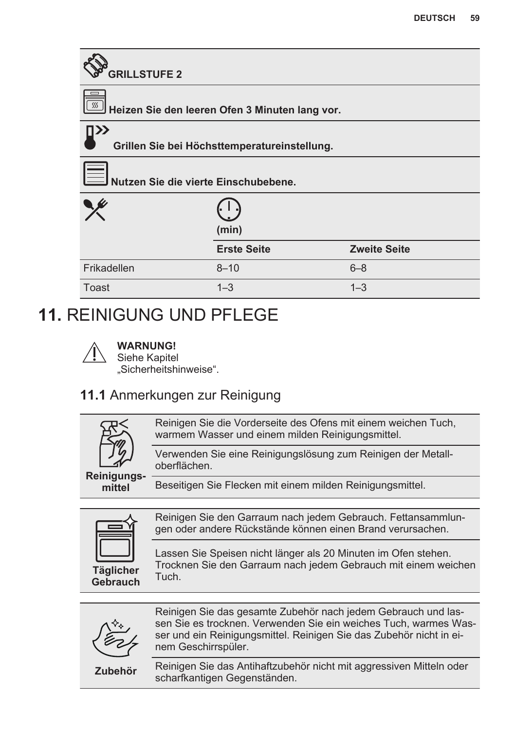<span id="page-58-0"></span>

| <b>GRILLSTUFE 2</b>                  |                                                |                     |  |  |  |
|--------------------------------------|------------------------------------------------|---------------------|--|--|--|
| SSS                                  | Heizen Sie den leeren Ofen 3 Minuten lang vor. |                     |  |  |  |
| ПУУ                                  | Grillen Sie bei Höchsttemperatureinstellung.   |                     |  |  |  |
| Nutzen Sie die vierte Einschubebene. |                                                |                     |  |  |  |
|                                      | (min)                                          |                     |  |  |  |
|                                      | <b>Erste Seite</b>                             | <b>Zweite Seite</b> |  |  |  |
| Frikadellen                          | $8 - 10$                                       | $6 - 8$             |  |  |  |
| Toast                                | $1 - 3$                                        | $1 - 3$             |  |  |  |

### **11.** REINIGUNG UND PFLEGE



### **WARNUNG!**

Siehe Kapitel "Sicherheitshinweise".

### **11.1** Anmerkungen zur Reinigung

|                              | Reinigen Sie die Vorderseite des Ofens mit einem weichen Tuch,<br>warmem Wasser und einem milden Reinigungsmittel.                                                                                                              |
|------------------------------|---------------------------------------------------------------------------------------------------------------------------------------------------------------------------------------------------------------------------------|
|                              | Verwenden Sie eine Reinigungslösung zum Reinigen der Metall-<br>oberflächen.                                                                                                                                                    |
| Reinigungs-<br>mittel        | Beseitigen Sie Flecken mit einem milden Reinigungsmittel.                                                                                                                                                                       |
|                              |                                                                                                                                                                                                                                 |
|                              | Reinigen Sie den Garraum nach jedem Gebrauch. Fettansammlun-<br>gen oder andere Rückstände können einen Brand verursachen.                                                                                                      |
| <b>Täglicher</b><br>Gebrauch | Lassen Sie Speisen nicht länger als 20 Minuten im Ofen stehen.<br>Trocknen Sie den Garraum nach jedem Gebrauch mit einem weichen<br>Tuch.                                                                                       |
|                              |                                                                                                                                                                                                                                 |
|                              | Reinigen Sie das gesamte Zubehör nach jedem Gebrauch und las-<br>sen Sie es trocknen. Verwenden Sie ein weiches Tuch, warmes Was-<br>ser und ein Reinigungsmittel. Reinigen Sie das Zubehör nicht in ei-<br>nem Geschirrspüler. |
| Zubehör                      | Reinigen Sie das Antihaftzubehör nicht mit aggressiven Mitteln oder<br>scharfkantigen Gegenständen.                                                                                                                             |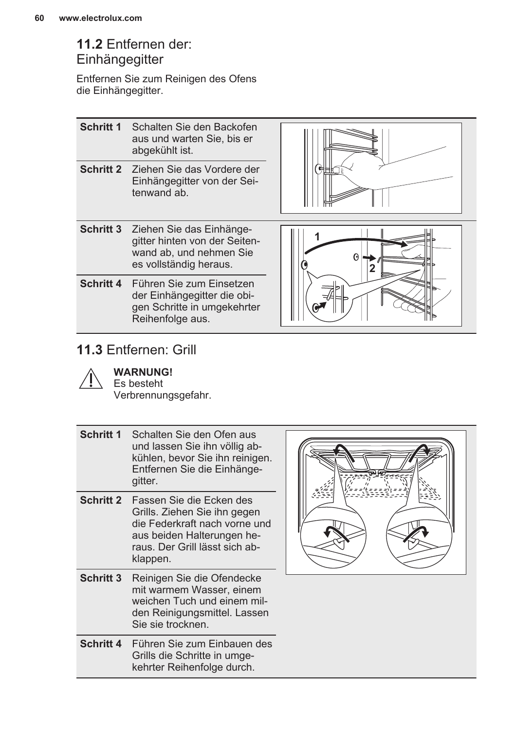### **11.2** Entfernen der: **Einhängegitter**

Entfernen Sie zum Reinigen des Ofens die Einhängegitter.

| <b>Schritt 1</b> Schalten Sie den Backofen   |
|----------------------------------------------|
| aus und warten Sie, bis er<br>abgekühlt ist. |

**Schritt 2** Ziehen Sie das Vordere der Einhängegitter von der Sei‐ tenwand ab.



- **Schritt 3** Ziehen Sie das Einhänge‐ gitter hinten von der Seiten‐ wand ab, und nehmen Sie es vollständig heraus.
- **Schritt 4** Führen Sie zum Einsetzen der Einhängegitter die obi‐ gen Schritte in umgekehrter Reihenfolge aus.



### **11.3** Entfernen: Grill



**WARNUNG!**

Es besteht Verbrennungsgefahr.

| <b>Schritt 1</b> Schalten Sie den Ofen aus |  |  |
|--------------------------------------------|--|--|
| und lassen Sie ihn völlig ab-              |  |  |
| kühlen, bevor Sie ihn reinigen.            |  |  |
| Entfernen Sie die Einhänge-                |  |  |
| gitter.                                    |  |  |

- **Schritt 2** Fassen Sie die Ecken des Grills. Ziehen Sie ihn gegen die Federkraft nach vorne und aus beiden Halterungen he‐ raus. Der Grill lässt sich ab‐ klappen.
- **Schritt 3** Reinigen Sie die Ofendecke mit warmem Wasser, einem weichen Tuch und einem mil‐ den Reinigungsmittel. Lassen Sie sie trocknen.
- **Schritt 4** Führen Sie zum Einbauen des Grills die Schritte in umge‐ kehrter Reihenfolge durch.

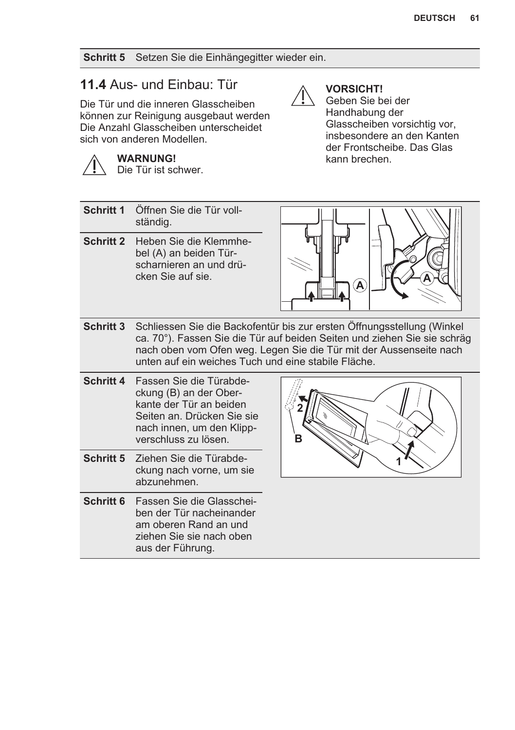**Schritt 5** Setzen Sie die Einhängegitter wieder ein.

### **11.4** Aus- und Einbau: Tür

**WARNUNG!** Die Tür ist schwer.

Die Tür und die inneren Glasscheiben können zur Reinigung ausgebaut werden Die Anzahl Glasscheiben unterscheidet sich von anderen Modellen.

### **VORSICHT!**

Geben Sie bei der Handhabung der Glasscheiben vorsichtig vor, insbesondere an den Kanten der Frontscheibe. Das Glas kann brechen.

| Schritt 1        | Öffnen Sie die Tür voll-<br>ständig.                                                                                                                            |                                                                                                                                                                                                                          |
|------------------|-----------------------------------------------------------------------------------------------------------------------------------------------------------------|--------------------------------------------------------------------------------------------------------------------------------------------------------------------------------------------------------------------------|
| <b>Schritt 2</b> | Heben Sie die Klemmhe-<br>bel (A) an beiden Tür-<br>scharnieren an und drü-<br>cken Sie auf sie.                                                                | Ά                                                                                                                                                                                                                        |
| Schritt 3        | unten auf ein weiches Tuch und eine stabile Fläche.                                                                                                             | Schliessen Sie die Backofentür bis zur ersten Öffnungsstellung (Winkel<br>ca. 70°). Fassen Sie die Tür auf beiden Seiten und ziehen Sie sie schräg<br>nach oben vom Ofen weg. Legen Sie die Tür mit der Aussenseite nach |
| <b>Schritt 4</b> | Fassen Sie die Türabde-<br>ckung (B) an der Ober-<br>kante der Tür an beiden<br>Seiten an. Drücken Sie sie<br>nach innen, um den Klipp-<br>verschluss zu lösen. | в                                                                                                                                                                                                                        |
| Schritt 5        | Ziehen Sie die Türabde-<br>ckung nach vorne, um sie<br>abzunehmen.                                                                                              |                                                                                                                                                                                                                          |
| Schritt 6        | Fassen Sie die Glasschei-<br>ben der Tür nacheinander<br>am oberen Rand an und<br>ziehen Sie sie nach oben<br>aus der Führung.                                  |                                                                                                                                                                                                                          |
|                  |                                                                                                                                                                 |                                                                                                                                                                                                                          |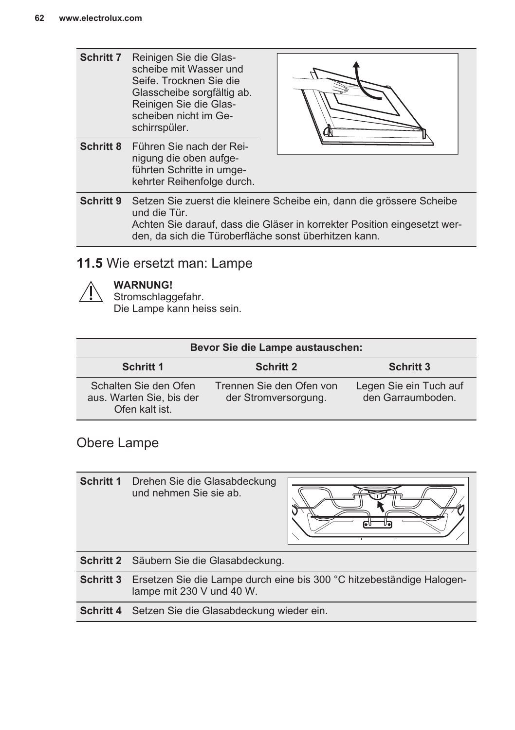| Schritt 7 | Reinigen Sie die Glas-<br>scheibe mit Wasser und<br>Seife. Trocknen Sie die<br>Glasscheibe sorgfältig ab.<br>Reinigen Sie die Glas-<br>scheiben nicht im Ge-<br>schirrspüler.                                              |  |
|-----------|----------------------------------------------------------------------------------------------------------------------------------------------------------------------------------------------------------------------------|--|
| Schritt 8 | Führen Sie nach der Rei-<br>nigung die oben aufge-<br>führten Schritte in umge-<br>kehrter Reihenfolge durch.                                                                                                              |  |
| Schritt 9 | Setzen Sie zuerst die kleinere Scheibe ein, dann die grössere Scheibe<br>und die Tür.<br>Achten Sie darauf, dass die Gläser in korrekter Position eingesetzt wer-<br>den, da sich die Türoberfläche sonst überhitzen kann. |  |

### **11.5** Wie ersetzt man: Lampe

#### **WARNUNG!**

Stromschlaggefahr. Die Lampe kann heiss sein.

| Bevor Sie die Lampe austauschen:                                    |                                                  |                                             |  |
|---------------------------------------------------------------------|--------------------------------------------------|---------------------------------------------|--|
| <b>Schritt 1</b>                                                    | <b>Schritt 2</b>                                 | Schritt 3                                   |  |
| Schalten Sie den Ofen<br>aus. Warten Sie, bis der<br>Ofen kalt ist. | Trennen Sie den Ofen von<br>der Stromversorgung. | Legen Sie ein Tuch auf<br>den Garraumboden. |  |

### Obere Lampe

**Schritt 1** Drehen Sie die Glasabdeckung und nehmen Sie sie ab. **Schritt 2** Säubern Sie die Glasabdeckung. **Schritt 3** Ersetzen Sie die Lampe durch eine bis 300 °C hitzebeständige Halogen‐ lampe mit 230 V und 40 W. **Schritt 4** Setzen Sie die Glasabdeckung wieder ein.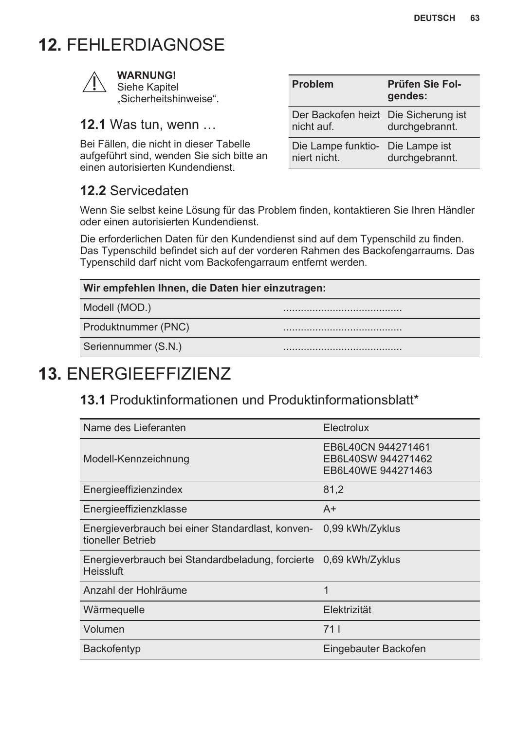### <span id="page-62-0"></span>**12.** FEHLERDIAGNOSE



#### **WARNUNG!** Siehe Kapitel

"Sicherheitshinweise".

### **12.1** Was tun, wenn …

Bei Fällen, die nicht in dieser Tabelle aufgeführt sind, wenden Sie sich bitte an einen autorisierten Kundendienst.

### **12.2** Servicedaten

| <b>Problem</b>                                     | <b>Prüfen Sie Fol-</b><br>gendes: |
|----------------------------------------------------|-----------------------------------|
| Der Backofen heizt Die Sicherung ist<br>nicht auf. | durchgebrannt.                    |
| Die Lampe funktio- Die Lampe ist<br>niert nicht.   | durchgebrannt.                    |

Wenn Sie selbst keine Lösung für das Problem finden, kontaktieren Sie Ihren Händler oder einen autorisierten Kundendienst.

Die erforderlichen Daten für den Kundendienst sind auf dem Typenschild zu finden. Das Typenschild befindet sich auf der vorderen Rahmen des Backofengarraums. Das Typenschild darf nicht vom Backofengarraum entfernt werden.

#### **Wir empfehlen Ihnen, die Daten hier einzutragen:**

Modell (MOD.)

Produktnummer (PNC)

Seriennummer (S.N.)

### **13.** ENERGIEEFFIZIENZ

### **13.1** Produktinformationen und Produktinformationsblatt\*

| Name des Lieferanten                                                  | Electrolux                                                     |
|-----------------------------------------------------------------------|----------------------------------------------------------------|
| Modell-Kennzeichnung                                                  | EB6L40CN 944271461<br>EB6L40SW 944271462<br>EB6L40WE 944271463 |
| Energieeffizienzindex                                                 | 81,2                                                           |
| Energieeffizienzklasse                                                | $A+$                                                           |
| Energieverbrauch bei einer Standardlast, konven-<br>tioneller Betrieb | 0.99 kWh/Zyklus                                                |
| Energieverbrauch bei Standardbeladung, forcierte<br>Heissluft         | 0.69 kWh/Zyklus                                                |
| Anzahl der Hohlräume                                                  | 1                                                              |
| Wärmequelle                                                           | Elektrizität                                                   |
| Volumen                                                               | 711                                                            |
| Backofentyp                                                           | Eingebauter Backofen                                           |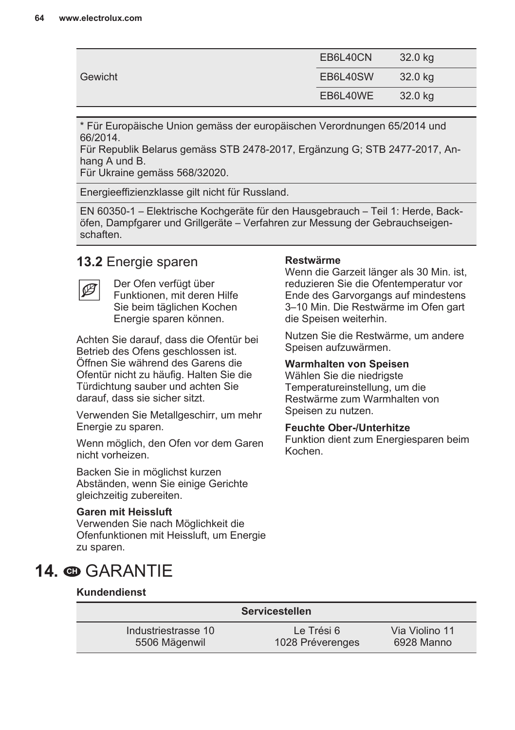<span id="page-63-0"></span>

| Gewicht | EB6L40CN | 32.0 kg |
|---------|----------|---------|
|         | EB6L40SW | 32.0 kg |
|         | EB6L40WE | 32.0 kg |

\* Für Europäische Union gemäss der europäischen Verordnungen 65/2014 und 66/2014.

Für Republik Belarus gemäss STB 2478-2017, Ergänzung G; STB 2477-2017, An‐ hang A und B.

Für Ukraine gemäss 568/32020.

Energieeffizienzklasse gilt nicht für Russland.

EN 60350-1 – Elektrische Kochgeräte für den Hausgebrauch – Teil 1: Herde, Back‐ öfen, Dampfgarer und Grillgeräte – Verfahren zur Messung der Gebrauchseigen‐ schaften.

### **13.2** Energie sparen



Der Ofen verfügt über Funktionen, mit deren Hilfe Sie beim täglichen Kochen Energie sparen können.

Achten Sie darauf, dass die Ofentür bei Betrieb des Ofens geschlossen ist. Öffnen Sie während des Garens die Ofentür nicht zu häufig. Halten Sie die Türdichtung sauber und achten Sie darauf, dass sie sicher sitzt.

Verwenden Sie Metallgeschirr, um mehr Energie zu sparen.

Wenn möglich, den Ofen vor dem Garen nicht vorheizen.

Backen Sie in möglichst kurzen Abständen, wenn Sie einige Gerichte gleichzeitig zubereiten.

#### **Garen mit Heissluft**

Verwenden Sie nach Möglichkeit die Ofenfunktionen mit Heissluft, um Energie zu sparen.

### 14. **<sup>O</sup>GARANTIE**

#### **Kundendienst**

| <b>Servicestellen</b> |                  |                |  |
|-----------------------|------------------|----------------|--|
| Industriestrasse 10   | Le Trési 6       | Via Violino 11 |  |
| 5506 Mägenwil         | 1028 Préverenges | 6928 Manno     |  |

#### **Restwärme**

Wenn die Garzeit länger als 30 Min. ist, reduzieren Sie die Ofentemperatur vor Ende des Garvorgangs auf mindestens 3–10 Min. Die Restwärme im Ofen gart die Speisen weiterhin.

Nutzen Sie die Restwärme, um andere Speisen aufzuwärmen.

#### **Warmhalten von Speisen**

Wählen Sie die niedrigste Temperatureinstellung, um die Restwärme zum Warmhalten von Speisen zu nutzen.

#### **Feuchte Ober-/Unterhitze**

Funktion dient zum Energiesparen beim Kochen.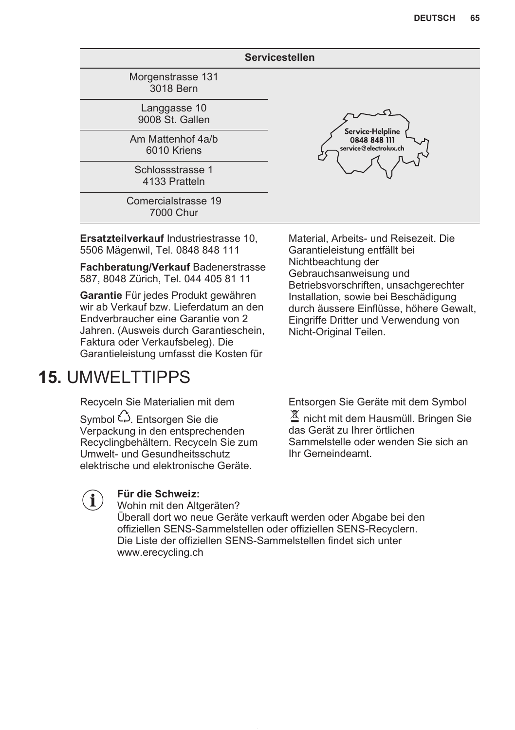<span id="page-64-0"></span>

| <b>Servicestellen</b>             |                                                           |  |
|-----------------------------------|-----------------------------------------------------------|--|
| Morgenstrasse 131<br>3018 Bern    |                                                           |  |
| Langgasse 10<br>9008 St. Gallen   | Service Helpline<br>0848 848 111<br>service@electrolux.ch |  |
| Am Mattenhof 4a/b<br>6010 Kriens  |                                                           |  |
| Schlossstrasse 1<br>4133 Pratteln |                                                           |  |
| Comercialstrasse 19<br>7000 Chur  |                                                           |  |

**Ersatzteilverkauf** Industriestrasse 10, 5506 Mägenwil, Tel. 0848 848 111

**Fachberatung/Verkauf** Badenerstrasse 587, 8048 Zürich, Tel. 044 405 81 11

**Garantie** Für jedes Produkt gewähren wir ab Verkauf bzw. Lieferdatum an den Endverbraucher eine Garantie von 2 Jahren. (Ausweis durch Garantieschein, Faktura oder Verkaufsbeleg). Die Garantieleistung umfasst die Kosten für

### **15.** UMWELTTIPPS

Recyceln Sie Materialien mit dem

Symbol  $\hat{\omega}$ . Entsorgen Sie die Verpackung in den entsprechenden Recyclingbehältern. Recyceln Sie zum Umwelt- und Gesundheitsschutz elektrische und elektronische Geräte.

Material, Arbeits- und Reisezeit. Die Garantieleistung entfällt bei Nichtbeachtung der Gebrauchsanweisung und Betriebsvorschriften, unsachgerechter Installation, sowie bei Beschädigung durch äussere Einflüsse, höhere Gewalt, Eingriffe Dritter und Verwendung von Nicht-Original Teilen.

Entsorgen Sie Geräte mit dem Symbol

区 nicht mit dem Hausmüll. Bringen Sie das Gerät zu Ihrer örtlichen Sammelstelle oder wenden Sie sich an Ihr Gemeindeamt.



### **Für die Schweiz:**

Wohin mit den Altgeräten? Überall dort wo neue Geräte verkauft werden oder Abgabe bei den offiziellen SENS-Sammelstellen oder offiziellen SENS-Recyclern. Die Liste der offiziellen SENS-Sammelstellen findet sich unter www.erecycling.ch